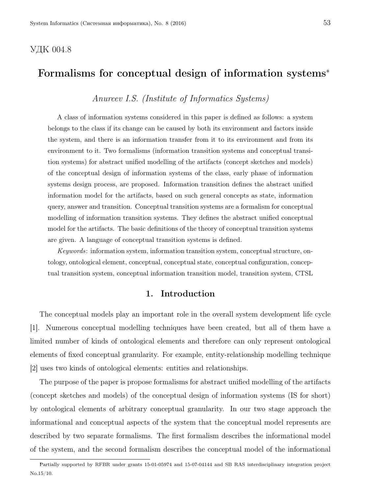# УДК 004.8

# Formalisms for conceptual design of information systems<sup>∗</sup>

Anureev I.S. (Institute of Informatics Systems)

A class of information systems considered in this paper is defined as follows: a system belongs to the class if its change can be caused by both its environment and factors inside the system, and there is an information transfer from it to its environment and from its environment to it. Two formalisms (information transition systems and conceptual transition systems) for abstract unified modelling of the artifacts (concept sketches and models) of the conceptual design of information systems of the class, early phase of information systems design process, are proposed. Information transition defines the abstract unified information model for the artifacts, based on such general concepts as state, information query, answer and transition. Conceptual transition systems are a formalism for conceptual modelling of information transition systems. They defines the abstract unified conceptual model for the artifacts. The basic definitions of the theory of conceptual transition systems are given. A language of conceptual transition systems is defined.

Keywords: information system, information transition system, conceptual structure, ontology, ontological element, conceptual, conceptual state, conceptual configuration, conceptual transition system, conceptual information transition model, transition system, CTSL

# 1. Introduction

The conceptual models play an important role in the overall system development life cycle [1]. Numerous conceptual modelling techniques have been created, but all of them have a limited number of kinds of ontological elements and therefore can only represent ontological elements of fixed conceptual granularity. For example, entity-relationship modelling technique [2] uses two kinds of ontological elements: entities and relationships.

The purpose of the paper is propose formalisms for abstract unified modelling of the artifacts (concept sketches and models) of the conceptual design of information systems (IS for short) by ontological elements of arbitrary conceptual granularity. In our two stage approach the informational and conceptual aspects of the system that the conceptual model represents are described by two separate formalisms. The first formalism describes the informational model of the system, and the second formalism describes the conceptual model of the informational

Partially supported by RFBR under grants 15-01-05974 and 15-07-04144 and SB RAS interdisciplinary integration project No.15/10.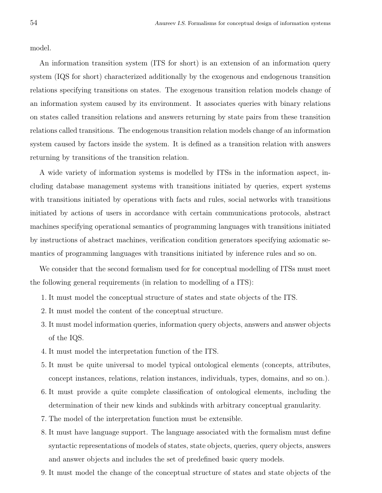model.

An information transition system (ITS for short) is an extension of an information query system (IQS for short) characterized additionally by the exogenous and endogenous transition relations specifying transitions on states. The exogenous transition relation models change of an information system caused by its environment. It associates queries with binary relations on states called transition relations and answers returning by state pairs from these transition relations called transitions. The endogenous transition relation models change of an information system caused by factors inside the system. It is defined as a transition relation with answers returning by transitions of the transition relation.

A wide variety of information systems is modelled by ITSs in the information aspect, including database management systems with transitions initiated by queries, expert systems with transitions initiated by operations with facts and rules, social networks with transitions initiated by actions of users in accordance with certain communications protocols, abstract machines specifying operational semantics of programming languages with transitions initiated by instructions of abstract machines, verification condition generators specifying axiomatic semantics of programming languages with transitions initiated by inference rules and so on.

We consider that the second formalism used for for conceptual modelling of ITSs must meet the following general requirements (in relation to modelling of a ITS):

- 1. It must model the conceptual structure of states and state objects of the ITS.
- 2. It must model the content of the conceptual structure.
- 3. It must model information queries, information query objects, answers and answer objects of the IQS.
- 4. It must model the interpretation function of the ITS.
- 5. It must be quite universal to model typical ontological elements (concepts, attributes, concept instances, relations, relation instances, individuals, types, domains, and so on.).
- 6. It must provide a quite complete classification of ontological elements, including the determination of their new kinds and subkinds with arbitrary conceptual granularity.
- 7. The model of the interpretation function must be extensible.
- 8. It must have language support. The language associated with the formalism must define syntactic representations of models of states, state objects, queries, query objects, answers and answer objects and includes the set of predefined basic query models.
- 9. It must model the change of the conceptual structure of states and state objects of the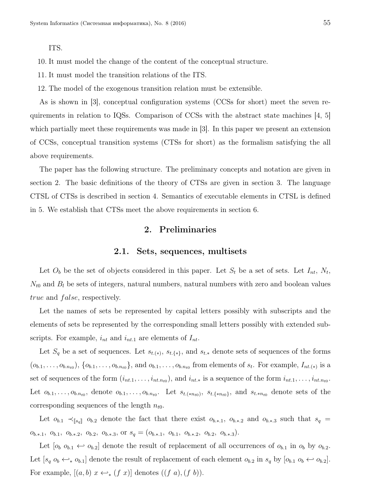ITS.

10. It must model the change of the content of the conceptual structure.

- 11. It must model the transition relations of the ITS.
- 12. The model of the exogenous transition relation must be extensible.

As is shown in [3], conceptual configuration systems (CCSs for short) meet the seven requirements in relation to IQSs. Comparison of CCSs with the abstract state machines [4, 5] which partially meet these requirements was made in [3]. In this paper we present an extension of CCSs, conceptual transition systems (CTSs for short) as the formalism satisfying the all above requirements.

The paper has the following structure. The preliminary concepts and notation are given in section 2. The basic definitions of the theory of CTSs are given in section 3. The language CTSL of CTSs is described in section 4. Semantics of executable elements in CTSL is defined in 5. We establish that CTSs meet the above requirements in section 6.

# 2. Preliminaries

#### 2.1. Sets, sequences, multisets

Let  $O_b$  be the set of objects considered in this paper. Let  $S_t$  be a set of sets. Let  $I_{nt}$ ,  $N_t$ ,  $N_{t0}$  and  $B_l$  be sets of integers, natural numbers, natural numbers with zero and boolean values true and false, respectively.

Let the names of sets be represented by capital letters possibly with subscripts and the elements of sets be represented by the corresponding small letters possibly with extended subscripts. For example,  $i_{nt}$  and  $i_{nt,1}$  are elements of  $I_{nt}$ .

Let  $S_q$  be a set of sequences. Let  $s_{t,(*)}$ ,  $s_{t,\{*\}}$ , and  $s_{t,*}$  denote sets of sequences of the forms  $(o_{b.1},\ldots,o_{b.n_{t0}}),\{o_{b.1},\ldots,o_{b.n_{t0}}\}\text{, and }o_{b.1},\ldots,o_{b.n_{t0}}\text{ from elements of }s_t\text{. For example, }I_{nt,(*)}\text{ is a }$ set of sequences of the form  $(i_{nt,1},...,i_{nt,n_{t0}})$ , and  $i_{nt*}$  is a sequence of the form  $i_{nt,1},...,i_{nt,n_{t0}}$ . Let  $o_{b,1},\ldots,o_{b,n_{t0}},$  denote  $o_{b,1},\ldots,o_{b,n_{t0}}$ . Let  $s_{t,(*n_{t0})}, s_{t,\{*n_{t0}\}}$ , and  $s_{t,*n_{t0}}$  denote sets of the corresponding sequences of the length  $n_{t0}$ .

Let  $o_{b,1} \prec_{s_q} o_{b,2}$  denote the fact that there exist  $o_{b,*,1}$ ,  $o_{b,*,2}$  and  $o_{b,*,3}$  such that  $s_q =$  $o_{b.*.1}, o_{b.1}, o_{b.*.2}, o_{b.2}, o_{b.*.3}, \text{or } s_q = (o_{b.*.1}, o_{b.1}, o_{b.*.2}, o_{b.2}, o_{b.*.3}).$ 

Let  $[o_b \ o_{b.1} \leftarrow o_{b.2}]$  denote the result of replacement of all occurrences of  $o_{b.1}$  in  $o_b$  by  $o_{b.2}$ . Let  $[s_q \ o_b \leftrightarrow_{*} o_{b,1}]$  denote the result of replacement of each element  $o_{b,2}$  in  $s_q$  by  $[o_{b,1} \ o_b \leftrightarrow o_{b,2}]$ . For example,  $[(a, b) \ x \leftrightarrow_{*} (f \ x)]$  denotes  $((f \ a), (f \ b))$ .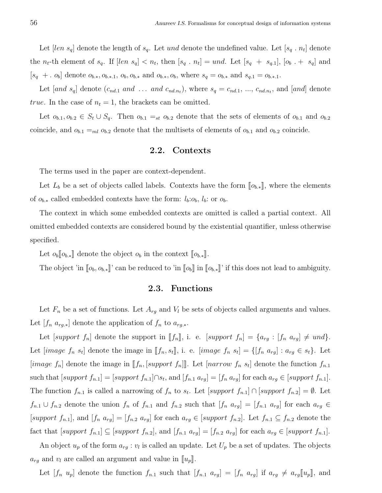Let  $[len s_q]$  denote the length of  $s_q$ . Let und denote the undefined value. Let  $[s_q, n_t]$  denote the  $n_t$ -th element of  $s_q$ . If  $[len s_q] < n_t$ , then  $[s_q : n_t] = und$ . Let  $[s_q + s_{q,1}], [o_b + s_q]$  and  $[s_q + c_b]$  denote  $o_{b,*}, o_{b,*,1}, o_b, o_{b,*}$  and  $o_{b,*}, o_b$ , where  $s_q = o_{b,*}$  and  $s_{q,1} = o_{b,*,1}$ .

Let [and  $s_q$ ] denote  $(c_{nd,1}$  and ... and  $c_{nd,n_t}$ , where  $s_q = c_{nd,1}, ..., c_{nd,n_t}$ , and [and] denote true. In the case of  $n_t = 1$ , the brackets can be omitted.

Let  $o_{b,1}, o_{b,2} \in S_t \cup S_q$ . Then  $o_{b,1} =_{st} o_{b,2}$  denote that the sets of elements of  $o_{b,1}$  and  $o_{b,2}$ coincide, and  $o_{b,1} =_{ml} o_{b,2}$  denote that the multisets of elements of  $o_{b,1}$  and  $o_{b,2}$  coincide.

#### 2.2. Contexts

The terms used in the paper are context-dependent.

Let  $L_b$  be a set of objects called labels. Contexts have the form  $[\![o_{b,*}]\!]$ , where the elements of  $o_{b,*}$  called embedded contexts have the form:  $l_b: o_b, l_b:$  or  $o_b$ .

The context in which some embedded contexts are omitted is called a partial context. All omitted embedded contexts are considered bound by the existential quantifier, unless otherwise specified.

Let  $o_b \llbracket o_{b,*} \rrbracket$  denote the object  $o_b$  in the context  $\llbracket o_{b,*} \rrbracket$ .

The object 'in  $[\![o_b, o_{b*}]\!]$ ' can be reduced to 'in  $[\![o_b]\!]$  in  $[\![o_{b*}]\!]$ ' if this does not lead to ambiguity.

#### 2.3. Functions

Let  $F_n$  be a set of functions. Let  $A_{rg}$  and  $V_l$  be sets of objects called arguments and values. Let  $[f_n \, a_{rg,*}]$  denote the application of  $f_n$  to  $a_{rg,*}$ .

Let [support  $f_n$ ] denote the support in [ $f_n$ ], i. e. [support  $f_n$ ] = { $a_{rg}$  : [ $f_n$   $a_{rg}$ ]  $\neq$  und}. Let  $[image \ f_n \ s_t]$  denote the image in  $[[f_n, s_t]],$  i. e.  $[image \ f_n \ s_t] = \{[f_n \ a_{rg}] : a_{rg} \in s_t\}$ . Let [*image*  $f_n$ ] denote the image in [ $f_n$ , [*support*  $f_n$ ]]. Let [*narrow*  $f_n$   $s_t$ ] denote the function  $f_{n,1}$ such that  $[support\ f_{n.1}] = [support\ f_{n.1}]\cap s_t$ , and  $[f_{n.1}\ a_{rg}] = [f_n\ a_{rg}]$  for each  $a_{rg} \in [support\ f_{n.1}].$ The function  $f_{n,1}$  is called a narrowing of  $f_n$  to  $s_t$ . Let  $[support f_{n,1}] \cap [support f_{n,2}] = \emptyset$ . Let  $f_{n,1} \cup f_{n,2}$  denote the union  $f_n$  of  $f_{n,1}$  and  $f_{n,2}$  such that  $[f_n, a_{rg}] = [f_{n,1}, a_{rg}]$  for each  $a_{rg} \in$ [support  $f_{n,1}$ ], and  $[f_n \, a_{rg}] = [f_{n,2} \, a_{rg}]$  for each  $a_{rg} \in [support \, f_{n,2}]$ . Let  $f_{n,1} \subseteq f_{n,2}$  denote the fact that  $[support\ f_{n.1}] \subseteq [support\ f_{n.2}]$ , and  $[f_{n.1}\ a_{rg}] = [f_{n.2}\ a_{rg}]$  for each  $a_{rg} \in [support\ f_{n.1}]$ .

An object  $u_p$  of the form  $a_{rg} : v_l$  is called an update. Let  $U_p$  be a set of updates. The objects  $a_{rg}$  and  $v_l$  are called an argument and value in  $\llbracket u_p \rrbracket$ .

Let  $[f_n u_p]$  denote the function  $f_{n,1}$  such that  $[f_{n,1} a_{rg}] = [f_n a_{rg}]$  if  $a_{rg} \neq a_{rg}[[u_p]]$ , and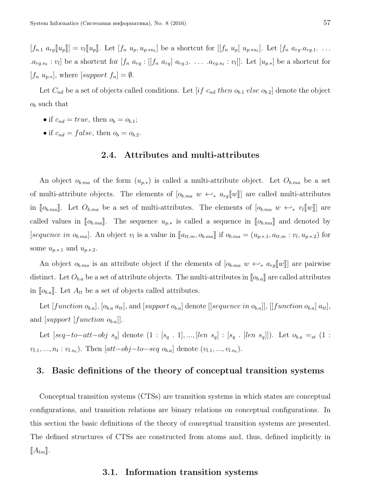$[f_{n.1} a_{rg}[[u_p]]] = v_l[[u_p]]$ . Let  $[f_n u_p, u_{p, *n_t}]$  be a shortcut for  $[[f_n u_p] u_{p, *n_t}]$ . Let  $[f_n a_{rg}.a_{rg.1}. \ldots]$  $[a_{rg,n_t}:v_l]$  be a shortcut for  $[f_n a_{rg}:[f_n a_{rg}] a_{rg,1} \ldots a_{rg,n_t}:v_l]$ . Let  $[u_{p,*}]$  be a shortcut for  $[f_n u_{p,*}],$  where  $[support f_n] = \emptyset.$ 

Let  $C_{nd}$  be a set of objects called conditions. Let [if  $c_{nd}$  then  $o_{b,1}$  else  $o_{b,2}$ ] denote the object  $o<sub>b</sub>$  such that

- if  $c_{nd} = true$ , then  $o_b = o_{b,1}$ ;
- if  $c_{nd} = false$ , then  $o_b = o_{b,2}$ .

#### 2.4. Attributes and multi-attributes

An object  $o_{b,m}$  of the form  $(u_{p,*})$  is called a multi-attribute object. Let  $O_{b,m}$  be a set of multi-attribute objects. The elements of  $[o_{b,ma} w \leftrightarrow_{*} a_{rg}[[w]]$  are called multi-attributes in  $\llbracket o_{b,ma} \rrbracket$ . Let  $O_{b,ma}$  be a set of multi-attributes. The elements of  $\llbracket o_{b,ma} \ w \leftrightarrow_{*} v_l \llbracket w \rrbracket$  are called values in  $[\![o_{b,ma}]\!]$ . The sequence  $u_{p,*}$  is called a sequence in  $[\![o_{b,ma}]\!]$  and denoted by [sequence in  $o_{b,m}$ ]. An object  $v_l$  is a value in  $[[a_{tt,m}, o_{b,m}]]$  if  $o_{b,m} = (u_{p,*,1}, a_{tt,m} : v_l, u_{p,*,2})$  for some  $u_{p.*.1}$  and  $u_{p.*.2}$ .

An object  $o_{b,m}$  is an attribute object if the elements of  $[o_{b,m} w \leftrightarrow a_{rg}[[w]]$  are pairwise distinct. Let  $O_{b,a}$  be a set of attribute objects. The multi-attributes in  $\llbracket o_{b,a} \rrbracket$  are called attributes in  $[\![o_{b,a}]\!]$ . Let  $A_{tt}$  be a set of objects called attributes.

Let  $[function o_{b,a}], [o_{b,a} a_{tt}],$  and  $[support o_{b,a}]$  denote  $[[sequence in o_{b,a}]], [[function o_{b,a}] a_{tt}],$ and [support [function  $o_{b,a}$ ]].

Let  $[seq-to-att-obj \ s_q]$  denote  $(1 : [s_q : 1], ..., [len \ s_q] : [s_q : [len \ s_q]])$ . Let  $o_{b,a} =_{st} (1 : [s_q : 1], ..., [len \ s_q]$  $v_{l,1},...,n_t:v_{l,n_t}$ ). Then  $[att-obj-to-seq o_{b,a}]$  denote  $(v_{l,1},...,v_{l,n_t})$ .

#### 3. Basic definitions of the theory of conceptual transition systems

Conceptual transition systems (CTSs) are transition systems in which states are conceptual configurations, and transition relations are binary relations on conceptual configurations. In this section the basic definitions of the theory of conceptual transition systems are presented. The defined structures of CTSs are constructed from atoms and, thus, defined implicitly in  $\llbracket A_{tm} \rrbracket.$ 

#### 3.1. Information transition systems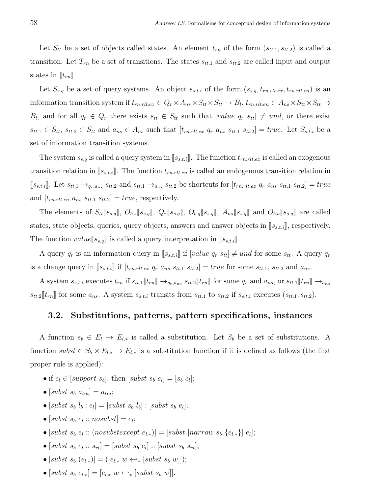Let  $S_{tt}$  be a set of objects called states. An element  $t_{rn}$  of the form  $(s_{tt,1}, s_{tt,2})$  is called a transition. Let  $T_{rn}$  be a set of transitions. The states  $s_{tt,1}$  and  $s_{tt,2}$  are called input and output states in  $[t_{rn}]$ .

Let  $S_{s,q}$  be a set of query systems. An object  $s_{s,t,i}$  of the form  $(s_{s,q}, t_{rn.rlt.ex}, t_{rn.rlt.en})$  is an information transition system if  $t_{rn.rlt.ex} \in Q_r \times A_{ns} \times S_{tt} \times S_{tt} \to B_l$ ,  $t_{rn.rlt.en} \in A_{ns} \times S_{tt} \times S_{tt} \to$  $B_l$ , and for all  $q_r \in Q_r$  there exists  $s_{tt} \in S_{tt}$  such that  $[value \ q_r \ s_{tt}] \neq und$ , or there exist  $s_{tt,1} \in S_{tt}$ ,  $s_{tt,2} \in S_{tt}$  and  $a_{ns} \in A_{ns}$  such that  $[t_{rn,rtt,ex} q_r a_{ns} s_{tt,1} s_{tt,2}] = true$ . Let  $S_{s,t,i}$  be a set of information transition systems.

The system  $s_{s,q}$  is called a query system in  $[s_{s,t,i}].$  The function  $t_{rn,rlt,ex}$  is called an exogenous transition relation in  $[s_{s,t,i}].$  The function  $t_{rn.rlt.en}$  is called an endogenous transition relation in  $[s_{s,t,i}]$ . Let  $s_{tt,1} \rightarrow_{q_r,a_{ns}} s_{tt,2}$  and  $s_{tt,1} \rightarrow_{a_{ns}} s_{tt,2}$  be shortcuts for  $[t_{rn.rl.ex} q_r a_{ns} s_{tt,1} s_{tt,2}] = true$ and  $[t<sub>rn.rlt.en</sub> a<sub>ns</sub> s<sub>tt.1</sub> s<sub>tt.2</sub>] = true$ , respectively.

The elements of  $S_{tt}[[s_{s,q}]]$ ,  $O_{b.s}[[s_{s,q}]]$ ,  $Q_r[[s_{s,q}]]$ ,  $O_{b,q}[[s_{s,q}]]$  and  $O_{b,a}[[s_{s,q}]]$  are called states, state objects, queries, query objects, answers and answer objects in  $[s_{s.t.i}]$ , respectively. The function  $value[[s_{s,q}]]$  is called a query interpretation in  $[[s_{s,t,i}]]$ .

A query  $q_r$  is an information query in  $[s_{s,t,i}]$  if  $[value \t q_r s_{tt}] \neq und$  for some  $s_{tt}$ . A query  $q_r$ is a change query in  $[s_{s,t,i}]$  if  $[t_{rn.rlt.ex} q_r a_{ns} s_{tt.1} s_{tt.2}] = true$  for some  $s_{tt.1}$ ,  $s_{tt.2}$  and  $a_{ns}$ .

A system  $s_{s.t.i}$  executes  $t_{rn}$  if  $s_{tt.1}[[t_{rn}]] \rightarrow_{q_r,a_{ns}} s_{tt.2}[[t_{rn}]]$  for some  $q_r$  and  $a_{ns}$ , or  $s_{tt.1}[[t_{rn}]] \rightarrow_{a_{ns}} s_{tt.3}$  $s_{tt,2}$ [ $t_{rn}$ ] for some  $a_{ns}$ . A system  $s_{s,t,i}$  transits from  $s_{tt,1}$  to  $s_{tt,2}$  if  $s_{s,t,i}$  executes  $(s_{tt,1}, s_{tt,2})$ .

#### 3.2. Substitutions, patterns, pattern specifications, instances

A function  $s_b \in E_l \to E_{l,*}$  is called a substitution. Let  $S_b$  be a set of substitutions. A function subst  $\in S_b \times E_{l_*} \to E_{l_*}$  is a substitution function if it is defined as follows (the first proper rule is applied):

- if  $e_l \in [support\ s_b],$  then  $[subst\ s_b\ e_l] = [s_b\ e_l];$
- [subst  $s_b$   $a_{tm}$ ] =  $a_{tm}$ ;
- [subst  $s_b$   $l_b$  :  $e_l$ ] = [subst  $s_b$   $l_b$ ] : [subst  $s_b$   $e_l$ ];
- $\bullet$  [subst  $s_b$   $e_l$  :: nosubst] =  $e_l$ ;
- [subst  $s_b e_l$  :: (nosubstexcept  $e_{l,*}$ )] = [subst [narrow  $s_b \{e_{l,*}\}$ ]  $e_l$ ];
- $\bullet$  [subst  $s_b$   $e_l$  ::  $s_{rt}$ ] = [subst  $s_b$   $e_l$ ] :: [subst  $s_b$   $s_{rt}$ ];
- $[subst \; s_b \; (e_{l,*})] = ([e_{l,*} \; w \leftrightarrow_{*} [subst \; s_b \; w)]);$
- $[subst s_b e_{l,*}] = [e_{l,*} w \leftrightarrow_{*} [subst s_b w]].$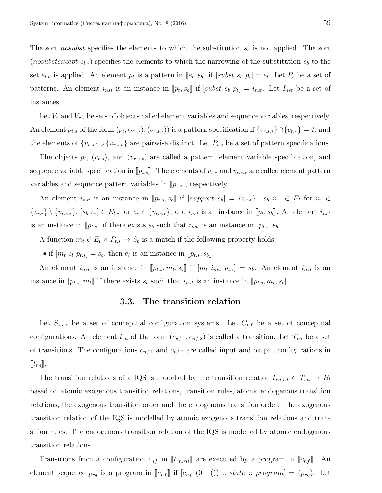The sort *nosubst* specifies the elements to which the substitution  $s_b$  is not applied. The sort (nosubstexcept  $e_{l,*}$ ) specifies the elements to which the narrowing of the substitution  $s_b$  to the set  $e_{l,*}$  is applied. An element  $p_t$  is a pattern in  $[\![e_l, s_b]\!]$  if  $[subst \; s_b \; p_t] = e_l$ . Let  $P_t$  be a set of patterns. An element  $i_{nst}$  is an instance in  $[\![p_t, s_b]\!]$  if  $[subst \; s_b \; p_t] = i_{nst}$ . Let  $I_{nst}$  be a set of instances.

Let  $V_r$  and  $V_{r,s}$  be sets of objects called element variables and sequence variables, respectively. An element  $p_{t,s}$  of the form  $(p_t,(v_{r,s},),(v_{r,s,*}))$  is a pattern specification if  $\{v_{r,s,*}\}\cap \{v_{r,*}\}=\emptyset$ , and the elements of  ${v_{r,*}} \cup {v_{r,s,*}}$  are pairwise distinct. Let  $P_{t,s}$  be a set of pattern specifications.

The objects  $p_t$ ,  $(v_{r,*})$ , and  $(v_{r,s,*})$  are called a pattern, element variable specification, and sequence variable specification in  $[\![p_{t,s}]\!]$ . The elements of  $v_{r,*}$  and  $v_{r,s,*}$  are called element pattern variables and sequence pattern variables in  $[\![p_{t,s}]\!]$ , respectively.

An element  $i_{nst}$  is an instance in  $[\![p_{t,s}, s_b]\!]$  if  $[support\ s_b] = \{v_{r,*}\},\ [s_b\ v_r] \in E_l$  for  $v_r \in E_l$  ${v_{r,*}} \ (v_{r,s,*}), [s_b v_r] \in E_{l,*}$  for  $v_r \in {v_{r,s,*}}$ , and  $i_{nst}$  is an instance in  $[ p_t, s_b ]$ . An element  $i_{nst}$ is an instance in  $[\![p_{t,s}]\!]$  if there exists  $s_b$  such that  $i_{nst}$  is an instance in  $[\![p_{t.s}, s_b]\!]$ .

A function  $m_t \in E_l \times P_{t,s} \to S_b$  is a match if the following property holds:

• if  $[m_t e_l p_{t,s}] = s_b$ , then  $e_l$  is an instance in  $[\![p_{t,s}, s_b]\!]$ .

An element  $i_{nst}$  is an instance in  $[\![p_{t,s}, m_t, s_b]\!]$  if  $[m_t \, i_{nst} \, p_{t,s}] = s_b$ . An element  $i_{nst}$  is an instance in  $[\![p_{t,s}, m_t]\!]$  if there exists  $s_b$  such that  $i_{nst}$  is an instance in  $[\![p_{t,s}, m_t, s_b]\!]$ .

# 3.3. The transition relation

Let  $S_{s.c.c}$  be a set of conceptual configuration systems. Let  $C_{nf}$  be a set of conceptual configurations. An element  $t_{rn}$  of the form  $(c_{nf,1}, c_{nf,2})$  is called a transition. Let  $T_{rn}$  be a set of transitions. The configurations  $c_{nf,1}$  and  $c_{nf,2}$  are called input and output configurations in  $\llbracket t_{rn} \rrbracket.$ 

The transition relations of a IQS is modelled by the transition relation  $t_{rn,rlt} \in T_{rn} \to B_l$ based on atomic exogenous transition relations, transition rules, atomic endogenous transition relations, the exogenous transition order and the endogenous transition order. The exogenous transition relation of the IQS is modelled by atomic exogenous transition relations and transition rules. The endogenous transition relation of the IQS is modelled by atomic endogenous transition relations.

Transitions from a configuration  $c_{nf}$  in  $[\![t_{rn.rlt}]\!]$  are executed by a program in  $[\![c_{nf}]\!]$ . An element sequence  $p_{rg}$  is a program in  $\llbracket c_{nf} \rrbracket$  if  $[c_{nf} (0 : ()): state :: program] = (p_{rg}).$  Let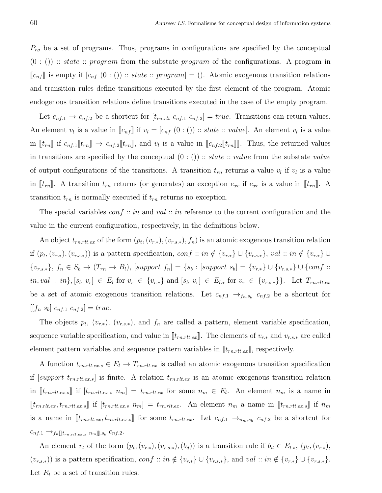$P_{rg}$  be a set of programs. Thus, programs in configurations are specified by the conceptual  $(0:$   $($ ) :: *state* :: *program* from the substate *program* of the configurations. A program in  $\llbracket c_{nf} \rrbracket$  is empty if  $[c_{nf} (0 : ()): state:: program] = ()$ . Atomic exogenous transition relations and transition rules define transitions executed by the first element of the program. Atomic endogenous transition relations define transitions executed in the case of the empty program.

Let  $c_{nf,1} \rightarrow c_{nf,2}$  be a shortcut for  $[t_{rn,rlt} c_{nf,1} c_{nf,2}] = true$ . Transitions can return values. An element  $v_l$  is a value in  $[\![c_{nf}]\!]$  if  $v_l = [c_{nf}(0:())::state::value]$ . An element  $v_l$  is a value in  $[\![t_{rn}]\!]$  if  $c_{nf,1}[\![t_{rn}]\!] \to c_{nf,2}[\![t_{rn}]\!]$ , and  $v_l$  is a value in  $[\![c_{nf,2}[\![t_{rn}]\!]$ . Thus, the returned values in transitions are specified by the conceptual  $(0:$   $()$ ) :: *state* :: *value* from the substate *value* of output configurations of the transitions. A transition  $t_{rn}$  returns a value  $v_l$  if  $v_l$  is a value in  $[\![t_{rn}]\!]$ . A transition  $t_{rn}$  returns (or generates) an exception  $e_{xc}$  if  $e_{xc}$  is a value in  $[\![t_{rn}]\!]$ . A transition  $t_{rn}$  is normally executed if  $t_{rn}$  returns no exception.

The special variables  $conf :: in$  and val :: in reference to the current configuration and the value in the current configuration, respectively, in the definitions below.

An object  $t_{rn.rlt. ex}$  of the form  $(p_t, (v_{r.*}), (v_{r.s.*}), f_n)$  is an atomic exogenous transition relation if  $(p_t,(v_{r,*}), (v_{r,s,*}))$  is a pattern specification,  $conf::in \notin \{v_{r,*}\} \cup \{v_{r,s,*}\}, val::in \notin \{v_{r,*}\} \cup$  ${v_{r,s,*}}$ ,  $f_n \in S_b$  →  $(T_{rn} \to B_l)$ , [support  $f_n$ ] = { $s_b$  : [support  $s_b$ ] = { $v_{r,*}$ } ∪ { $conf$  ::  $in, val : in$ ,  $[s_b \ v_r] \in E_l$  for  $v_r \in \{v_{r,*}\}\$  and  $[s_b \ v_r] \in E_{l,*}$  for  $v_r \in \{v_{r,s,*}\}\$ . Let  $T_{rn.rlt, ex}$ be a set of atomic exogenous transition relations. Let  $c_{nf,1} \rightarrow_{f_n,s_b} c_{nf,2}$  be a shortcut for  $[[f_n s_b] c_{nf,1} c_{nf,2}] = true.$ 

The objects  $p_t$ ,  $(v_{r,*})$ ,  $(v_{r,s,*})$ , and  $f_n$  are called a pattern, element variable specification, sequence variable specification, and value in  $[[t_{rn.rlt. ex}]]$ . The elements of  $v_{r.*}$  and  $v_{r.s.*}$  are called element pattern variables and sequence pattern variables in  $[\![t_{rn.rlt.ex}]\!]$ , respectively.

A function  $t_{rn.rlt.ex.} \in E_l \to T_{rn.rlt.ex}$  is called an atomic exogenous transition specification if  $[support\ t_{rn.rl.ex.s}]$  is finite. A relation  $t_{rn.rl.ex}$  is an atomic exogenous transition relation in  $[t_{rn.rlt.ex.s}]$  if  $[t_{rn.rlt.ex.s}$   $n_m] = t_{rn.rlt.ex}$  for some  $n_m \in E_l$ . An element  $n_m$  is a name in  $[t_{rn.rtt.ex}, t_{rn.rtt.ex.s}]$  if  $[t_{rn.rtt.ex.s}$   $n_m] = t_{rn.rtt.ex}$ . An element  $n_m$  a name in  $[t_{rn.rtt.ex.s}]$  if  $n_m$ is a name in  $[\![t_{rn.rlt.ex}, t_{rn.rlt.ex.s}]\!]$  for some  $t_{rn.rlt.ex}$ . Let  $c_{nf,1} \rightarrow_{n_m,s_b} c_{nf,2}$  be a shortcut for  $c_{nf,1} \rightarrow f_n[[t_{rn.rlt.ex.s} \ n_m]], s_b \ c_{nf,2}.$ 

An element  $r_l$  of the form  $(p_t, (v_{r,*}), (v_{r,s,*}), (b_d))$  is a transition rule if  $b_d \in E_{l,*}, (p_t, (v_{r,*}),$  $(v_{r,s,*})$ ) is a pattern specification,  $conf :: in \notin \{v_{r,*}\} \cup \{v_{r,s,*}\},$  and  $val :: in \notin \{v_{r,*}\} \cup \{v_{r,s,*}\}.$ Let  $R_l$  be a set of transition rules.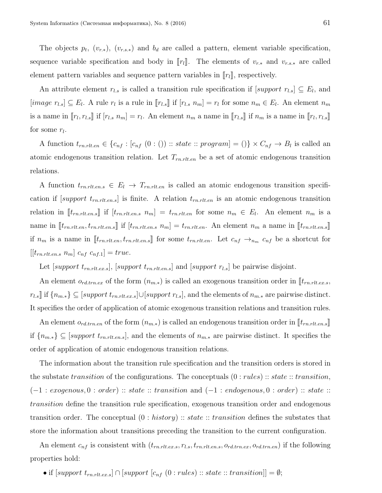The objects  $p_t$ ,  $(v_{r,*})$ ,  $(v_{r,s,*})$  and  $b_d$  are called a pattern, element variable specification, sequence variable specification and body in  $[[r_1]]$ . The elements of  $v_{r,*}$  and  $v_{r,s,*}$  are called element pattern variables and sequence pattern variables in  $[r_l]$ , respectively.

An attribute element  $r_{l,s}$  is called a transition rule specification if  $[support\ r_{l,s}] \subseteq E_l$ , and [image  $r_{l,s}$ ]  $\subseteq E_l$ . A rule  $r_l$  is a rule in [ $r_{l,s}$ ] if [ $r_{l,s}$   $n_m$ ] =  $r_l$  for some  $n_m \in E_l$ . An element  $n_m$ is a name in  $[\![r_l, r_{l,s}]\!]$  if  $[r_{l,s} n_m] = r_l$ . An element  $n_m$  a name in  $[\![r_l, r_l]$  if  $n_m$  is a name in  $[\![r_l, r_{l,s}]\!]$ for some  $r_l$ .

A function  $t_{rn.rlt.en} \in \{c_{nf} : [c_{nf}(0:())::state::program] = () \} \times C_{nf} \rightarrow B_l$  is called an atomic endogenous transition relation. Let  $T_{rn.rlt.en}$  be a set of atomic endogenous transition relations.

A function  $t_{rn.rlt.en.s} \in E_l \rightarrow T_{rn.rlt.en}$  is called an atomic endogenous transition specification if  $[support\ t_{rn.rlt.ens}]$  is finite. A relation  $t_{rn.rlt.en}$  is an atomic endogenous transition relation in  $[\![t_{rn.rlt.ens}]\!]$  if  $[t_{rn.rlt.ens} \ n_m] = t_{rn.rlt.en}$  for some  $n_m \in E_l$ . An element  $n_m$  is a name in  $[\![t_{rn.rlt.en}, t_{rn.rlt.en.s}]\!]$  if  $[t_{rn.rlt.en.s} \ n_m] = t_{rn.rlt.en}$ . An element  $n_m$  a name in  $[\![t_{rn.rlt.en.s}]\!]$ if  $n_m$  is a name in  $[\![t_{rn.rlt.en}, t_{rn.rlt.en.s}]\!]$  for some  $t_{rn.rlt.en}$ . Let  $c_{nf} \to_{n_m} c_{nf}$  be a shortcut for  $[[t_{rn.rlt.en.s} \; n_m] \; c_{nf} \; c_{nf.1}] = true.$ 

Let [support  $t_{rn.rlt.ex.s}$ ], [support  $t_{rn.rlt.ex.s}$ ] and [support  $r_{l.s}$ ] be pairwise disjoint.

An element  $o_{rd,trn,ex}$  of the form  $(n_{m,*})$  is called an exogenous transition order in  $[\![t_{rn.rtl.ex.s},$  $r_{l.s}$  if  ${n_{m.*}} \subseteq [support \ t_{rn.rl.ex.s}] \cup [support \ r_{l.s}]$ , and the elements of  $n_{m.*}$  are pairwise distinct. It specifies the order of application of atomic exogenous transition relations and transition rules.

An element  $o_{rd,tran}$  of the form  $(n_{m,*})$  is called an endogenous transition order in  $[\![t_{rn,rlt.en,s}]\!]$ if  ${n_{m,*}} \subseteq$  [support  $t_{rn.rtt.en.s}$ ], and the elements of  $n_{m,*}$  are pairwise distinct. It specifies the order of application of atomic endogenous transition relations.

The information about the transition rule specification and the transition orders is stored in the substate transition of the configurations. The conceptuals  $(0 : rules) :: state :: transition,$  $(-1 : exogenous, 0 : order) :: state :: transition and (-1 : endogenous, 0 : order) :: state ::$ transition define the transition rule specification, exogenous transition order and endogenous transition order. The conceptual  $(0: history) :: state :: transition$  defines the substates that store the information about transitions preceding the transition to the current configuration.

An element  $c_{nf}$  is consistent with  $(t_{rn.rlt. ex.s}, r_{ls}, t_{rn.rlt. en.s}, o_{rd.trn.ex}, o_{rd.trn.en})$  if the following properties hold:

• if  $[support \ t_{rn.rtlex.s}] \cap [support \ [c_{nf} \ (0 : rules) :: state :: transition]] = \emptyset;$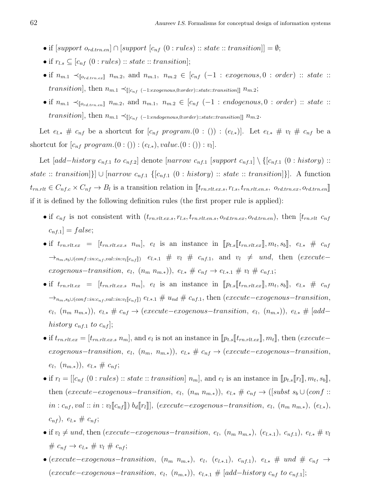- if  $[support\,\,o_{rd,trn,en}] \cap [support\,\, [c_{nf}\,\, (0:rules) :: state :: transition]] = \emptyset;$
- if  $r_{l,s} \subseteq [c_{nf}(0: rules) :: state :: transition];$
- if  $n_{m,1} \prec_{\llbracket o_{rd,trn,ex} \rrbracket} n_{m,2}$ , and  $n_{m,1}, n_{m,2} \in [c_{nf} (-1 : exogenous, 0 : order) :: state ::$ transition], then  $n_{m.1} \prec_{\parallel [c_{nf} (-1:exogenous,0:order)::state::transition]]} n_{m.2};$
- if  $n_{m,1} \prec_{\llbracket o_{rd,tran} \rrbracket} n_{m,2}$ , and  $n_{m,1}$ ,  $n_{m,2} \in [c_{nf} (-1 : endogenous, 0 : order) :: state ::$  $transition], \, \text{then} \,\, n_{m.1} \prec_{\text{[[}c_{nf} \ ( -1:endogenous, 0:order) :: state::transition \text{]]}} \, n_{m.2}.$

Let  $e_{l,*} \# c_{nf}$  be a shortcut for  $[c_{nf}$  program. $(0 : ()): (e_{l,*})$ . Let  $e_{l,*} \# v_l \# c_{nf}$  be a shortcut for  $[c_{nf}$  program. $(0:())$  :  $(e_{l,*})$ , value. $(0:())$  :  $v_l$ ].

Let  $[add-history \ c_{nf,1} \ to \ c_{nf,2}]$  denote  $[narrow \ c_{nf,1} \ [support \ c_{nf,1}] \ \ (c_{nf,1} \ (0 : history) ::$ state :: transition]}]  $\cup$  [narrow  $c_{nf,1}$  {[ $c_{nf,1}$  (0 : history) :: state :: transition]}]. A function  $t_{rn.rlt} \in C_{nf.c} \times C_{nf} \to B_l$  is a transition relation in  $[\![t_{rn.rlt.ex.s}, r_{l.s}, t_{rn.rlt.en.s}, o_{rd.trn.ex}, o_{rd.trn_en}]\!]$ if it is defined by the following definition rules (the first proper rule is applied):

- if  $c_{nf}$  is not consistent with  $(t_{rn.rtlex,s}, r_{ls}, t_{rn.rtlex,s}, o_{rd.trn.ex}, o_{rd.trn,en})$ , then  $[t_{rn.rtt}, c_{nf}]$  $[c_{nf,1}]$  = false;
- if  $t_{rn.rlt.ex} = [t_{rn.rlt.ex.sn} \ n_m], e_l$  is an instance in  $[pt_s[[t_{rn.rlt.ex}], m_t, s_b], e_{l,*} \# c_{nf}$  $\rightarrow_{n_m,s_b\cup (conf::in:c_{nf},val::in:v_l[\![c_{nf}]\!])}$   $e_{l.*.1} \# v_l \# c_{nf.1}$ , and  $v_l \neq und$ , then  $(execute-\n$ exogenous-transition,  $e_l$ ,  $(n_m \ n_{m,*})$ ),  $e_{l,*} \# c_{nf} \rightarrow e_{l*.1} \# v_l \# c_{nf.1}$ ;
- if  $t_{rn.rlt.ex} = [t_{rn.rlt.ex.sn} n_m], e_l$  is an instance in  $[pt_s[[t_{rn.rlt.ex}], m_t, s_b], e_{l,*} \# c_{nf}$  $\rightarrow_{n_m,s_b\cup (conf::in:c_{nf},val::in:v_l[[c_{nf}])} e_{l*1} \# u_{nd} \# c_{nf,1}$ , then (execute–exogenous–transition,  $(e_l, (n_m n_{m,*}))$ ,  $e_{l,*} \# c_{nf} \rightarrow (execute-exogenous-transition, e_l, (n_{m,*}))$ ,  $e_{l,*} \# [add$ history  $c_{nf,1}$  to  $c_{nf}$ ];
- if  $t_{rn.rlt.ex} = [t_{rn.rlt.ex,s} \ n_m]$ , and  $e_l$  is not an instance in  $[\![p_{t,s}]\!] t_{rn.rlt.ex} ]$ ,  $m_t]$ , then (execute–  $exogenous-transition, e_l, (n_m, n_{m,*}))$ ,  $e_{l,*} \# c_{nf} \rightarrow (execute-exogenous-transition,$  $(e_l, (n_{m,*}))$ ,  $e_{l,*} \# c_{nf};$
- if  $r_l = [[c_{nf} (0: rules) :: state :: transition] n_m]$ , and  $e_l$  is an instance in  $[ p_{t,s} [r_l], m_t, s_b]$ , then (execute–exogenous–transition,  $e_l$ ,  $(n_m n_{m,*})$ ),  $e_{l,*} \# c_{nf} \rightarrow$  ([subst  $s_b \cup (conf::$  $in : c_{nf}, val :: in : v_l[[c_{nf}]]) b_d[[r_l]], (execute-exogenous-transition, e_l, (n_m n_{m,*}), (e_{l,*}),$  $(c_{nf}), e_{l,*} \# c_{nf};$
- if  $v_l \neq und$ , then (execute–exogenous–transition,  $e_l$ ,  $(n_m n_{m,*})$ ,  $(e_{l,*1})$ ,  $c_{nf,1}$ ),  $e_{l,*} \neq v_l$  $# c_{nf}$  →  $e_{l,*}$   $# v_l$   $# c_{nf}$ ;
- (execute–exogenous–transition,  $(n_m \ n_{m,*})$ ,  $e_l$ ,  $(e_{l,*1})$ ,  $c_{nf,1}$ ),  $e_{l,*} \# \ und \# c_{nf} \rightarrow$  $(execute-exogenous-transition, e_l, (n_{m,*}))$ ,  $e_{l*,1} \# [add-history \ c_{nf} \ to \ c_{nf,1}]$ ;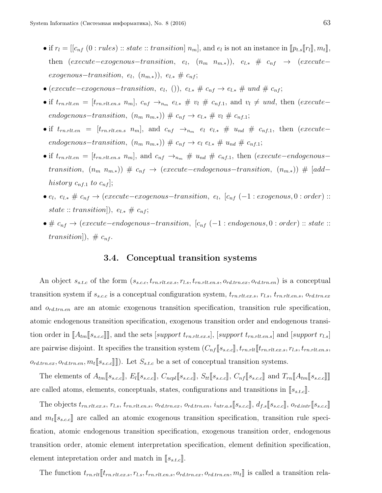- if  $r_l = [[c_{nf} (0: rules) :: state :: transition] n_m]$ , and  $e_l$  is not an instance in  $[ p_{t,s}[[r_l], m_t]],$ then (execute–exogenous–transition,  $e_l$ ,  $(n_m \ n_{m,*})$ ),  $e_{l,*} \# c_{nf} \rightarrow$  (execute–  $exogenous-transition, e_l, (n_{m,*}), e_{l,*} \# c_{nf};$
- (execute–exogenous–transition,  $e_l$ , ()),  $e_{l,*} \nleftrightarrow e_{nf} \rightarrow e_{l,*} \nleftrightarrow u_{nd} \nleftrightarrow e_{nf};$
- if  $t_{rn.rlt.en} = [t_{rn.rlt.en.s} \ n_m], \ c_{nf} \rightarrow_{n_m} e_{l.*} \# v_l \# c_{nf.1}$ , and  $v_l \neq und$ , then (execute– endogenous-transition,  $(n_m \ n_{m,*})$   $\# c_{nf} \rightarrow e_{l,*} \# v_l \# c_{nf,1};$
- if  $t_{rn.rlt.en} = [t_{rn.rlt.en.s} \ n_m]$ , and  $c_{nf} \rightarrow_{n_m} e_l \ e_{l.*} \# u_{nd} \# c_{nf.1}$ , then  $(execute$ endogenous-transition,  $(n_m \ n_{m,*})$   $\# c_{nf} \rightarrow e_l \ e_{l,*} \# u_{nd} \# c_{nf,1};$
- if  $t_{rn.rlt.en} = [t_{rn.rlt.en.s} \ n_m]$ , and  $c_{nf} \rightarrow_{n_m} \# u_{nd} \# c_{nf.1}$ , then (execute–endogenous– transition,  $(n_m n_{m,*})$ ) #  $c_{nf}$  → (execute–endogenous–transition,  $(n_{m,*})$ ) # [add– history  $c_{nf,1}$  to  $c_{nf}$ ];
- $e_l, e_{l,*} \nleftrightarrow c_{nf} \rightarrow (execute-exogenous-transition, e_l, [c_{nf} (-1:exogenous, 0:order) ::$  $state::transition]), e_{l.*} \neq c_{nf};$
- $\bullet \# c_{nf} \rightarrow (execute-endogenous-transition, [c_{nf} (-1:endogenous, 0:order) :: state ::$ transition]),  $\# c_{nf}$ .

#### 3.4. Conceptual transition systems

An object  $s_{s.t.c}$  of the form  $(s_{s.c.c}, t_{rn.rlt.ex.s}, r_{l.s}, t_{rn.rlt.en.s}, o_{rd.trn.ex}, o_{rd.trn.en})$  is a conceptual transition system if  $s_{s.c.c}$  is a conceptual configuration system,  $t_{rn.rlt.ex.s}, r_{ls}, t_{rn.rlt.en.s}, o_{rd.trn.ex}$ and  $o_{rd,tran}$  are an atomic exogenous transition specification, transition rule specification, atomic endogenous transition specification, exogenous transition order and endogenous transition order in  $[\![A_{tm}[\![s_{s.c.}\!]]\!]$ , and the sets [support  $t_{rn.rtlex.s}]$ , [support  $t_{rn.rtten.s}]$  and [support  $r_{l.s}]$ are pairwise disjoint. It specifies the transition system  $(C_{nf}[[s_{s.c}]], t_{rn.rlt}[[t_{rn.rlt, ex.s}, r_{ls}, t_{rn.rlt, en.s}]$  $o_{rd.tran.ex}, o_{rd.tran.em}, m_t[[s_{s.c.}]]$ . Let  $S_{s.t.c}$  be a set of conceptual transition systems.

The elements of  $A_{tm}\llbracket s_{s.c.c} \rrbracket$ ,  $E_l\llbracket s_{s.c.c} \rrbracket$ ,  $C_{ncpl}\llbracket s_{s.c.c} \rrbracket$ ,  $C_{nf}\llbracket s_{s.c.c} \rrbracket$ ,  $C_{nf}\llbracket s_{s.c.c} \rrbracket$  and  $T_{rn}\llbracket A_{tm}\llbracket s_{s.c.c} \rrbracket$ are called atoms, elements, conceptuals, states, configurations and transitions in  $[s_{s.t.c}]$ .

The objects  $t_{rn.rlt.ex.s}, r_{l.s}, t_{rn.rlt.ens}, o_{rd.trn.ex}, o_{rd.trn,en}, i_{ntr.a.s} \sim s_{sc.c}$ ,  $d_{f.s} \sim s_{sc.c}$ ,  $o_{rd.intr} \sim s_{sc.c}$ and  $m_t[s_{s.c.}]$  are called an atomic exogenous transition specification, transition rule specification, atomic endogenous transition specification, exogenous transition order, endogenous transition order, atomic element interpretation specification, element definition specification, element intepretation order and match in  $[s_{s.t.c}]$ .

The function  $t_{rn.rlt}$   $[t_{rn.rlt.ex.s}, r_{ls}, t_{rn.rlt.en.s}, o_{rd.trn.ex}, o_{rd.trn.en}, m_t]$  is called a transition rela-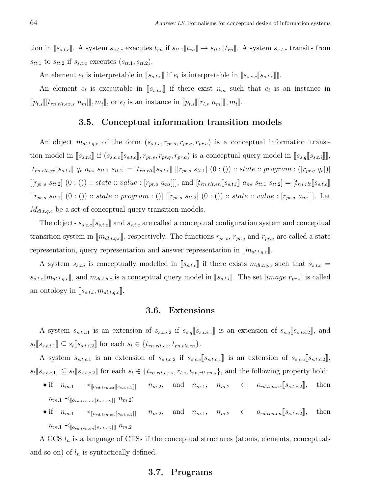tion in  $[s_{s.t.c}]$ . A system  $s_{s.t.c}$  executes  $t_{rn}$  if  $s_{tt.1}\llbracket t_{rn} \rrbracket \rightarrow s_{tt.2}\llbracket t_{rn} \rrbracket$ . A system  $s_{s.t.c}$  transits from  $s_{tt,1}$  to  $s_{tt,2}$  if  $s_{s.t.c}$  executes  $(s_{tt,1}, s_{tt,2})$ .

An element  $e_l$  is interpretable in  $[\![s_{s.t.c}]\!]$  if  $e_l$  is interpretable in  $[\![s_{s.c.c}][\![s_{s.t.c}]\!]$ .

An element  $e_l$  is executable in  $[s_{s,t,c}]$  if there exist  $n_m$  such that  $e_l$  is an instance in  $[\![p_{t,s}[[t_{rn.rlt.ex.s} n_m]]], m_t]\!]$ , or  $e_l$  is an instance in  $[\![p_{t,s}[[r_{l.s} n_m]]], m_t]\!]$ .

#### 3.5. Conceptual information transition models

An object  $m_{d l,t,q,c}$  of the form  $(s_{s,t,c}, r_{pr,s}, r_{pr,q}, r_{pr,a})$  is a conceptual information transition model in  $[s_{s.t.i}]$  if  $(s_{s.c.c}[s_{s.t.c}], r_{pr.s}, r_{pr.q}, r_{pr.a})$  is a conceptual query model in  $[s_{s.q}[s_{s.t.i}]]$ ,  $[t_{rn.rlt.ex} [s_{s.t.i}]$   $q_r$   $a_{ns}$   $s_{tt.1}$   $s_{tt.2}] = [t_{rn.rlt} [s_{s.t.c}]$   $[[r_{pr.s}$   $s_{tt.1}]$   $(0 : ())$  :: state :: program :  $([r_{pr.q}$   $q_r])]$  $[[r_{pr.s} s_{tt.2}] (0:()) :: state :: value : [r_{pr.a} a_{ns}]]],$  and  $[t_{rn.rlte} [s_{s.t.1}] a_{ns} s_{tt.1} s_{tt.2}] = [t_{rn.rlt} [s_{s.t.c}]]$  $[[r_{pr,s} s_{tt,1}] (0:()) :: state :: program : ()] [[r_{pr,s} s_{tt,2}] (0:()) :: state :: value : [r_{pr,a} a_{ns}]]].$  Let  $M_{dl.t.q.c}$  be a set of conceptual query transition models.

The objects  $s_{s.c.c}$   $[s_{s.t.c}]$  and  $s_{s.t.c}$  are called a conceptual configuration system and conceptual transition system in  $[\![m_{dl.t.q.c}]\!]$ , respectively. The functions  $r_{pr.s.}$ ,  $r_{pr.q}$  and  $r_{pr.a}$  are called a state representation, query representation and answer representation in  $\llbracket m_{dl,t,q,c} \rrbracket$ .

A system  $s_{s,t,i}$  is conceptually modelled in  $[s_{s,t,c}]$  if there exists  $m_{dl,t,q,c}$  such that  $s_{s,t,c}$  =  $s_{s.t.c}[\text{m}_{dl.t.q.c}]$ , and  $\text{m}_{dl.t.q.c}$  is a conceptual query model in  $[s_{s.t.i}]$ . The set  $\text{mage } r_{pr.s}]$  is called an ontology in  $[s_{s.t.i}, m_{dl.t.q.c}].$ 

#### 3.6. Extensions

A system  $s_{s.t.i.1}$  is an extension of  $s_{s.t.i.2}$  if  $s_{s.4}[[s_{s.t.i.1}]]$  is an extension of  $s_{s.4}[[s_{s.t.i.2}]]$ , and  $s_t[s_{s.t.i.1}]\subseteq s_t[s_{s.t.i.2}]\text{ for each }s_t \in \{t_{rn.rlt.ex}, t_{rn.rlt.en}\}.$ 

A system  $s_{s.t.c.1}$  is an extension of  $s_{s.t.c.2}$  if  $s_{s.c.c}[[s_{s.t.c.1}]]$  is an extension of  $s_{s.c.c}[[s_{s.t.c.2}]]$ ,  $s_t[[s_{s.t.c.1}]] \subseteq s_t[[s_{s.t.c.2}]]$  for each  $s_t \in \{t_{rn.rlt.ex.s}, r_{l.s}, t_{rn.rlt.en.s}\}$ , and the following property hold:

- if  $n_{m,1} \prec_{\llbracket o_{rd,trn,ex} \llbracket s_{s,t,c,1} \rrbracket} n_{m,2}$ , and  $n_{m,1}, n_{m,2} \in o_{rd,trn,ex} \llbracket s_{s,t,c,2} \rrbracket$ , then  $n_{m.1} \prec_{\llbracket o_{rd.trn.ex} \llbracket s_{s.t.c.2} \rrbracket \rrbracket} n_{m.2};$
- if  $n_{m,1} \prec_{\llbracket o_{rd,trn,en} \llbracket s_{s,t,c,1} \rrbracket} n_{m,2}$ , and  $n_{m,1}$ ,  $n_{m,2} \in o_{rd,trn,en} \llbracket s_{s,t,c,2} \rrbracket$ , then  $n_{m.1} \prec_{\llbracket o_{rd.tran} \llbracket s_{s.t.c.2} \rrbracket \rrbracket} n_{m.2}.$

A CCS  $l_n$  is a language of CTSs if the conceptual structures (atoms, elements, conceptuals and so on) of  $l_n$  is syntactically defined.

#### 3.7. Programs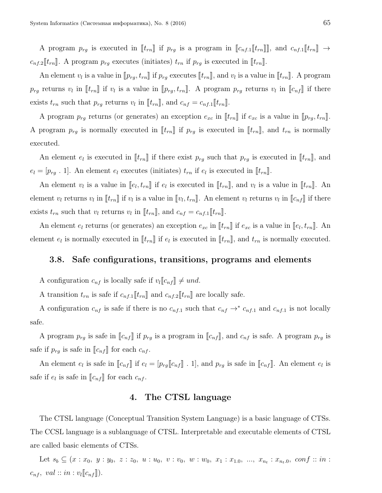A program  $p_{rg}$  is executed in  $[\![t_{rn}]\!]$  if  $p_{rg}$  is a program in  $[\![c_{nf,1}]\!]$ , and  $c_{nf,1}[\![t_{rn}]\!] \rightarrow$  $c_{nf,2}\llbracket t_{rn} \rrbracket$ . A program  $p_{rg}$  executes (initiates)  $t_{rn}$  if  $p_{rg}$  is executed in  $\llbracket t_{rn} \rrbracket$ .

An element  $v_l$  is a value in  $[\![p_{rg}, t_{rn}]\!]$  if  $p_{rg}$  executes  $[\![t_{rn}]\!]$ , and  $v_l$  is a value in  $[\![t_{rn}]\!]$ . A program  $p_{rg}$  returns  $v_l$  in  $[\![t_{rn}]\!]$  if  $v_l$  is a value in  $[\![p_{rg}, t_{rn}]\!]$ . A program  $p_{rg}$  returns  $v_l$  in  $[\![c_{nf}]\!]$  if there exists  $t_{rn}$  such that  $p_{rg}$  returns  $v_l$  in  $[[t_{rn}]]$ , and  $c_{nf} = c_{nf,1}[[t_{rn}]]$ .

A program  $p_{rg}$  returns (or generates) an exception  $e_{xc}$  in  $[[t_{rn}]]$  if  $e_{xc}$  is a value in  $[[p_{rg}, t_{rn}]]$ . A program  $p_{rg}$  is normally executed in  $[\![t_{rn}]\!]$  if  $p_{rg}$  is executed in  $[\![t_{rn}]\!]$ , and  $t_{rn}$  is normally executed.

An element  $e_l$  is executed in  $[[t_{rn}]]$  if there exist  $p_{rg}$  such that  $p_{rg}$  is executed in  $[[t_{rn}]]$ , and  $e_l = [p_{rg} \tcdot 1]$ . An element  $e_l$  executes (initiates)  $t_{rn}$  if  $e_l$  is executed in  $[[t_{rn}]]$ .

An element  $v_l$  is a value in  $[\![e_l, t_{rn}]\!]$  if  $e_l$  is executed in  $[\![t_{rn}]\!]$ , and  $v_l$  is a value in  $[\![t_{rn}]\!]$ . An element  $v_l$  returns  $v_l$  in  $[\![t_{rn}]\!]$  if  $v_l$  is a value in  $[\![v_l, t_{rn}]\!]$ . An element  $v_l$  returns  $v_l$  in  $[\![c_{nf}]\!]$  if there exists  $t_{rn}$  such that  $v_l$  returns  $v_l$  in  $[[t_{rn}]]$ , and  $c_{nf} = c_{nf,1}[[t_{rn}]]$ .

An element  $e_l$  returns (or generates) an exception  $e_{xc}$  in  $[\![t_{rn}]\!]$  if  $e_{xc}$  is a value in  $[\![e_l, t_{rn}]\!]$ . An element  $e_l$  is normally executed in  $[\![t_{rn}]\!]$  if  $e_l$  is executed in  $[\![t_{rn}]\!]$ , and  $t_{rn}$  is normally executed.

#### 3.8. Safe configurations, transitions, programs and elements

A configuration  $c_{nf}$  is locally safe if  $v_l[[c_{nf}]] \neq und$ .

A transition  $t_{rn}$  is safe if  $c_{nf,1}[[t_{rn}]]$  and  $c_{nf,2}[[t_{rn}]]$  are locally safe.

A configuration  $c_{nf}$  is safe if there is no  $c_{nf,1}$  such that  $c_{nf} \rightarrow^* c_{nf,1}$  and  $c_{nf,1}$  is not locally safe.

A program  $p_{rg}$  is safe in  $\llbracket c_{nf} \rrbracket$  if  $p_{rg}$  is a program in  $\llbracket c_{nf} \rrbracket$ , and  $c_{nf}$  is safe. A program  $p_{rg}$  is safe if  $p_{rg}$  is safe in  $\llbracket c_{nf} \rrbracket$  for each  $c_{nf}$ .

An element  $e_l$  is safe in  $[\![c_{nf}]\!]$  if  $e_l = [p_{rg}[\![c_{nf}]\!]$ . 1], and  $p_{rg}$  is safe in  $[\![c_{nf}]\!]$ . An element  $e_l$  is safe if  $e_l$  is safe in  $[[c_{nf}]]$  for each  $c_{nf}$ .

#### 4. The CTSL language

The CTSL language (Conceptual Transition System Language) is a basic language of CTSs. The CCSL language is a sublanguage of CTSL. Interpretable and executable elements of CTSL are called basic elements of CTSs.

Let  $s_b \subseteq (x : x_0, y : y_0, z : z_0, u : u_0, v : v_0, w : w_0, x_1 : x_{1,0}, ..., x_{n_t} : x_{n_t,0}, conf :: in :$  $c_{nf}, val :: in : v_l[[c_{nf}]].$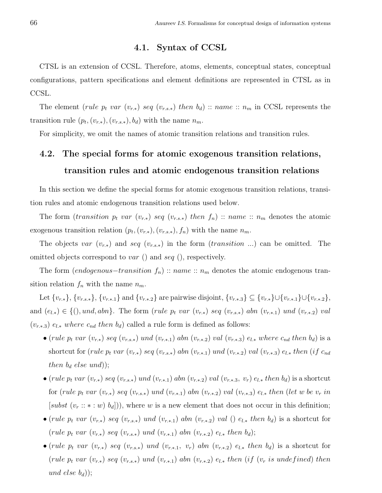# 4.1. Syntax of CCSL

CTSL is an extension of CCSL. Therefore, atoms, elements, conceptual states, conceptual configurations, pattern specifications and element definitions are represented in CTSL as in CCSL.

The element (rule  $p_t$  var  $(v_{r,*})$  seq  $(v_{r,s,*})$  then  $b_d)$  :: name ::  $n_m$  in CCSL represents the transition rule  $(p_t, (v_{r,*}), (v_{r,s,*}), b_d)$  with the name  $n_m$ .

For simplicity, we omit the names of atomic transition relations and transition rules.

# 4.2. The special forms for atomic exogenous transition relations, transition rules and atomic endogenous transition relations

In this section we define the special forms for atomic exogenous transition relations, transition rules and atomic endogenous transition relations used below.

The form (transition  $p_t$  var  $(v_{r,*})$  seq  $(v_{r,s,*})$  then  $f_n)$  :: name ::  $n_m$  denotes the atomic exogenous transition relation  $(p_t, (v_{r,*}), (v_{r,s,*}), f_n)$  with the name  $n_m$ .

The objects var  $(v_{r,*})$  and seq  $(v_{r,s,*})$  in the form  $(transition \dots)$  can be omitted. The omitted objects correspond to var  $($ ) and seq  $($ ), respectively.

The form (endogenous–transition  $f_n$ ) :: name ::  $n_m$  denotes the atomic endogenous transition relation  $f_n$  with the name  $n_m$ .

Let  $\{v_{r,*}\}, \{v_{r,s,*}\}, \{v_{r,*,1}\}$  and  $\{v_{r,*,2}\}$  are pairwise disjoint,  $\{v_{r,*,3}\}\subseteq \{v_{r,*}\}\cup \{v_{r,*,1}\}\cup \{v_{r,*,2}\},\$ and  $(e_{l,*}) \in \{(), und, abn\}$ . The form (rule  $p_t$  var  $(v_{r,*})$  seq  $(v_{r,s,*})$  abn  $(v_{r,*,1})$  und  $(v_{r,*,2})$  val  $(v_{r.*.3})$   $e_{l.*}$  where  $c_{nd}$  then  $b_d$ ) called a rule form is defined as follows:

- (rule  $p_t$  var  $(v_{r,*})$  seq  $(v_{r,s,*})$  und  $(v_{r,*,1})$  abn  $(v_{r,*,2})$  val  $(v_{r,*,3})$   $e_{l,*}$  where  $c_{nd}$  then  $b_d$ ) is a shortcut for (rule  $p_t$  var  $(v_{r,*})$  seq  $(v_{r,s,*})$  abn  $(v_{r,*,1})$  und  $(v_{r,*,2})$  val  $(v_{r,*,3})$  e<sub>l.\*</sub> then (if  $c_{nd}$ ) then  $b_d$  else und));
- (rule  $p_t$  var  $(v_{r,*})$  seq  $(v_{r,s,*})$  und  $(v_{r,*,1})$  abn  $(v_{r,*,2})$  val  $(v_{r*,3}, v_r)$   $e_{l,*}$  then  $b_d$ ) is a shortcut for (rule  $p_t$  var  $(v_{r,*})$  seq  $(v_{r,s,*})$  und  $(v_{r,*,1})$  abn  $(v_{r,*,2})$  val  $(v_{r,*,3})$   $e_{l,*}$  then (let w be  $v_r$  in [subst  $(v_r :: * : w) b_d$ ]), where w is a new element that does not occur in this definition;
- (rule p<sub>t</sub> var  $(v_{r,*})$  seq  $(v_{r,s,*})$  und  $(v_{r,*,1})$  abn  $(v_{r,*,2})$  val  $(v_{r,*}$  then  $b_d)$  is a shortcut for (rule  $p_t$  var  $(v_{r.*})$  seq  $(v_{r.s.*})$  und  $(v_{r.*.1})$  abn  $(v_{r.*.2})$   $e_{l.*}$  then  $b_d$ );
- (rule  $p_t$  var  $(v_{r,*})$  seq  $(v_{r,s,*})$  und  $(v_{r,*,1}, v_r)$  abn  $(v_{r,*,2})$   $e_{l,*}$  then  $b_d$ ) is a shortcut for (rule  $p_t$  var  $(v_{r,*})$  seq  $(v_{r,s,*})$  und  $(v_{r,*,1})$  abn  $(v_{r,*,2})$   $e_{l,*}$  then (if  $(v_r$  is undefined) then und else  $b_d$ );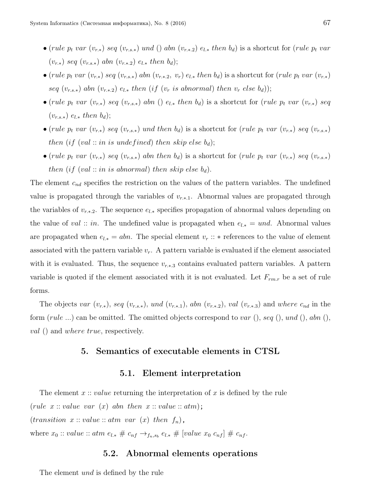- (rule  $p_t$  var  $(v_{r,*})$  seq  $(v_{r,s,*})$  und () abn  $(v_{r,*,2})$   $e_{l,*}$  then  $b_d$ ) is a shortcut for (rule  $p_t$  var  $(v_{r,*})$  seq  $(v_{r,s,*})$  abn  $(v_{r,*,2})$   $e_{l,*}$  then  $b_d)$ ;
- (rule  $p_t$  var  $(v_{r,*})$  seq  $(v_{r,s,*})$  abn  $(v_{r,*}, v_r)$   $e_{l,*}$  then  $b_d$ ) is a shortcut for (rule  $p_t$  var  $(v_{r,*})$ seq  $(v_{r,s,*})$  abn  $(v_{r,*,2})$   $e_{l,*}$  then (if  $(v_r$  is abnormal) then  $v_r$  else  $b_d$ ));
- (rule  $p_t$  var  $(v_{r,*})$  seq  $(v_{r,s,*})$  abn ()  $e_{l,*}$  then  $b_d$ ) is a shortcut for (rule  $p_t$  var  $(v_{r,*})$  seq  $(v_{r.s.}\rangle e_{l.}\; then\; b_d);$
- (rule  $p_t$  var  $(v_{r,*})$  seq  $(v_{r,s,*})$  und then  $b_d$ ) is a shortcut for (rule  $p_t$  var  $(v_{r,*})$  seq  $(v_{r,s,*})$ then (if (val :: in is undefined) then skip else  $b_d$ );
- (rule  $p_t$  var  $(v_{r,*})$  seq  $(v_{r,s,*})$  abn then  $b_d$ ) is a shortcut for (rule  $p_t$  var  $(v_{r,*})$  seq  $(v_{r,s,*})$ then (if (val :: in is abnormal) then skip else  $b_d$ ).

The element  $c_{nd}$  specifies the restriction on the values of the pattern variables. The undefined value is propagated through the variables of  $v_{r,*,1}$ . Abnormal values are propagated through the variables of  $v_{r.*.2}$ . The sequence  $e_{l.*}$  specifies propagation of abnormal values depending on the value of val :: in. The undefined value is propagated when  $e_{l,*} = und$ . Abnormal values are propagated when  $e_{l,*} = abn$ . The special element  $v_r :: *$  references to the value of element associated with the pattern variable  $v_r$ . A pattern variable is evaluated if the element associated with it is evaluated. Thus, the sequence  $v_{r*3}$  contains evaluated pattern variables. A pattern variable is quoted if the element associated with it is not evaluated. Let  $F_{rm}$  be a set of rule forms.

The objects var  $(v_{r,*})$ , seq  $(v_{r,s,*})$ , und  $(v_{r,*,1})$ , abn  $(v_{r,*,2})$ , val  $(v_{r,*,3})$  and where  $c_{nd}$  in the form  $(\text{rule} \dots)$  can be omitted. The omitted objects correspond to var  $(), \text{seq }(), \text{und }(), \text{abn }(),$ val () and where true, respectively.

#### 5. Semantics of executable elements in CTSL

#### 5.1. Element interpretation

The element  $x::value$  returning the interpretation of x is defined by the rule (rule  $x::value var(x)$  abn then  $x::value::atm$ );  $(transition \ x:: value::atm \ var \ (x) \ then \ f_n),$ where  $x_0 :: value :: atm e_{l,*} \# c_{nf} \rightarrow_{f_n,s_b} e_{l,*} \# [value x_0 c_{nf}] \# c_{nf}.$ 

#### 5.2. Abnormal elements operations

The element *und* is defined by the rule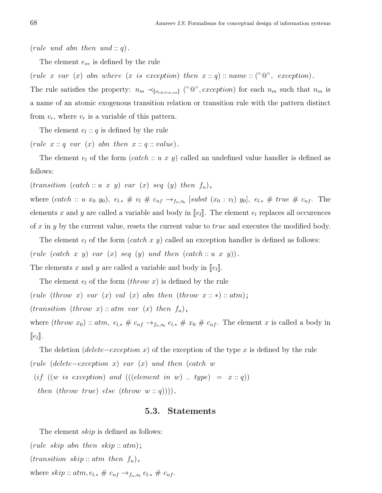(rule und abn then und  $: q$ ).

The element  $e_{xc}$  is defined by the rule

(rule x var  $(x)$  abn where  $(x \text{ is exception})$  then  $x : q) :: name :: ("@", exception)$ .

The rule satisfies the property:  $n_m \prec_{\llbracket o_{rd, trn, ex} \rrbracket} ("@", exception)$  for each  $n_m$  such that  $n_m$  is a name of an atomic exogenous transition relation or transition rule with the pattern distinct from  $v_r$ , where  $v_r$  is a variable of this pattern.

The element  $e_l$ : q is defined by the rule

(rule  $x: q \text{ var } (x)$  abn then  $x: q: value$ ).

The element  $e_l$  of the form  $(catch:: u x y)$  called an undefined value handler is defined as follows:

 $(transition (catch :: u x y) var (x) seq (y) then f<sub>n</sub>),$ 

where  $(catch :: u x_0 y_0), e_{l,*} \# v_l \# c_{nf} \rightarrow_{f_n,s_b} [subst (x_0 : v_l) y_0], e_{l,*} \# true \# c_{nf}.$  The elements x and y are called a variable and body in  $\llbracket e_l \rrbracket$ . The element  $e_l$  replaces all occurences of x in y by the current value, resets the current value to true and executes the modified body.

The element  $e_l$  of the form  $(catch\ x\ y)$  called an exception handler is defined as follows: (rule (catch x y) var  $(x)$  seq  $(y)$  und then  $(catch::u x y)$ ). The elements x and y are called a variable and body in  $||e_l||$ .

The element  $e_l$  of the form  $(throw\ x)$  is defined by the rule (rule (throw x) var  $(x)$  val  $(x)$  abn then (throw  $x :: *$ ) :: atm);  $(transition (throw x) :: atm var (x) then f_n),$ where  $(throw x_0) :: atm, e_{l,*} \# c_{nf} \rightarrow_{f_n,s_b} e_{l,*} \# x_0 \# c_{nf}.$  The element x is called a body in  $\|e_l\|.$ 

The deletion (delete–exception x) of the exception of the type x is defined by the rule (rule (delete−exception x) var (x) und then (catch w

(if  $((w \text{ is exception}) \text{ and } (((element \text{ in } w) \dots type) = x :: q))$ 

then (throw true) else (throw  $w::q$ ))).

#### 5.3. Statements

The element *skip* is defined as follows:

(rule skip abn then skip::  $atm$ );

 $(transition \; skip::atm \; then \; f_n),$ 

where  $skip :: atm, e_{l,*} \# c_{nf} \rightarrow_{f_n,s_b} e_{l,*} \# c_{nf}.$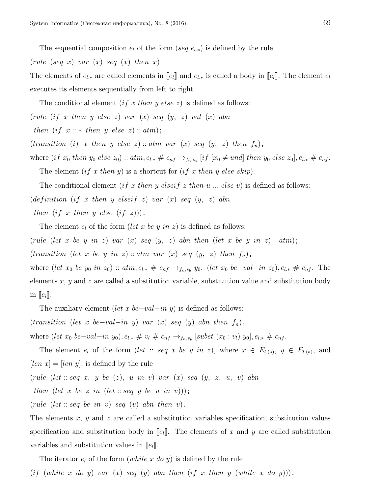The sequential composition  $e_l$  of the form (seq  $e_{l,*}$ ) is defined by the rule

(rule (seq x) var  $(x)$  seq  $(x)$  then x)

The elements of  $e_{l,*}$  are called elements in  $\llbracket e_l \rrbracket$  and  $e_{l,*}$  is called a body in  $\llbracket e_l \rrbracket$ . The element  $e_l$ executes its elements sequentially from left to right.

The conditional element (if x then y else z) is defined as follows:

(rule (if x then y else z) var  $(x)$  seq  $(y, z)$  val  $(x)$  abn

then  $(if x :: * then y else z) :: atm);$ 

(transition (if x then y else z): atm var (x) seq  $(y, z)$  then  $f_n$ ),

where  $(if x_0 then y_0 else z_0) :: atm, e_{l,*} \# c_{nf} \rightarrow_{f_n,s_b} [if [x_0 \neq und] then y_0 else z_0], e_{l,*} \# c_{nf}.$ 

The element  $(if x then y)$  is a shortcut for  $(if x then y else skip)$ .

The conditional element (if x then y elseif z then u ... else v) is defined as follows:

(definition (if x then y elseif z) var  $(x)$  seq  $(y, z)$  abn

then  $(if x then y else (if z))$ .

The element  $e_l$  of the form (let x be y in z) is defined as follows:

(rule (let x be y in z) var  $(x)$  seq  $(y, z)$  abn then (let x be y in z):  $atm$ );

(transition (let x be y in z) :: atm var (x) seq  $(y, z)$  then  $f_n$ ),

where  $(left x_0 be y_0 in z_0) :: atm, e_{l,*} \# c_{nf} \rightarrow_{f_n,s_b} y_0$ ,  $(left x_0 be-val-in z_0), e_{l,*} \# c_{nf}$ . The elements  $x, y$  and z are called a substitution variable, substitution value and substitution body in  $\llbracket e_l \rrbracket$ .

The auxiliary element (let x be–val–in y) is defined as follows:

(transition (let x be–val–in y) var (x) seq (y) abn then  $f_n$ ),

where  $(left\ x_0\ be-val-in\ y_0), e_{l,*}\ \# \ v_l\ \# \ c_{nf} \rightarrow_{f_n,s_b} [subst\ (x_0:v_l)\ y_0], e_{l,*}\ \# \ c_{nf}.$ 

The element  $e_l$  of the form (let :: seq x be y in z), where  $x \in E_{l(x)}$ ,  $y \in E_{l(x)}$ , and  $[len x] = [len y]$ , is defined by the rule

(rule (let :: seq x, y be  $(z)$ , u in v) var  $(x)$  seq  $(y, z, u, v)$  abn

then (let x be z in (let :: seq y be u in v)));

(rule (let :: seq be in v) seq (v) abn then v).

The elements x, y and z are called a substitution variables specification, substitution values specification and substitution body in  $\llbracket e_l \rrbracket$ . The elements of x and y are called substitution variables and substitution values in  $||e_l||$ .

The iterator  $e_l$  of the form (while x do y) is defined by the rule

(if (while x do y) var  $(x)$  seq  $(y)$  abn then (if x then y (while x do y))).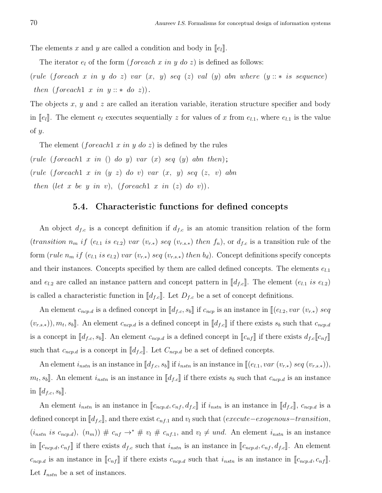The elements x and y are called a condition and body in  $\llbracket e_l \rrbracket$ .

The iterator  $e_l$  of the form (*foreach x in y do z*) is defined as follows:

(rule (foreach x in y do z) var  $(x, y)$  seq  $(z)$  val  $(y)$  abn where  $(y::*$  is sequence) then (foreach) x in  $y :: *$  do z)).

The objects x, y and z are called an iteration variable, iteration structure specifier and body in  $\llbracket e_l \rrbracket$ . The element  $e_l$  executes sequentially z for values of x from  $e_{l,1}$ , where  $e_{l,1}$  is the value of  $y$ .

The element (*foreach* 1 x in y do z) is defined by the rules

(rule (foreach  $x$  in () do y) var  $(x)$  seq  $(y)$  abn then); (rule (foreach1 x in (y z) do v) var (x, y) seq (z, v) abn then (let x be y in v), (foreach x in (z) do v)).

#### 5.4. Characteristic functions for defined concepts

An object  $d_{f,c}$  is a concept definition if  $d_{f,c}$  is an atomic transition relation of the form (transition  $n_m$  if (e<sub>l.1</sub> is e<sub>l.2</sub>) var (v<sub>r.\*</sub>) seq (v<sub>r.s.\*</sub>) then  $f_n$ ), or  $d_{f.c}$  is a transition rule of the form (rule  $n_m$  if  $(e_{l,1}$  is  $e_{l,2}$ ) var  $(v_{r,*})$  seq  $(v_{r,s,*})$  then  $b_d$ ). Concept definitions specify concepts and their instances. Concepts specified by them are called defined concepts. The elements  $e_{l,1}$ and  $e_{l,2}$  are called an instance pattern and concept pattern in  $[[d_{f,c}]]$ . The element  $(e_{l,1} \text{ is } e_{l,2})$ is called a characteristic function in  $[\![d_{f,c}]\!]$ . Let  $D_{f,c}$  be a set of concept definitions.

An element  $c_{ncp,d}$  is a defined concept in  $[[d_{f,c}, s_b]]$  if  $c_{ncp}$  is an instance in  $[[(e_{l,2}, var (v_{r,*}) s e q_{l}]]]$  $(v_{r,s,*})$ ,  $m_t$ ,  $s_b$ ]. An element  $c_{ncp.d}$  is a defined concept in  $[[d_{f.c}]]$  if there exists  $s_b$  such that  $c_{ncp.d}$ is a concept in  $[\![d_{f,c}, s_b]\!]$ . An element  $c_{ncp,d}$  is a defined concept in  $[\![c_{nf}]\!]$  if there exists  $d_{f,c}[\![c_{nf}]\!]$ such that  $c_{ncp.d}$  is a concept in  $[[d_{f.c}]]$ . Let  $C_{ncp.d}$  be a set of defined concepts.

An element  $i_{nstn}$  is an instance in  $[[d_{f.c}, s_b]]$  if  $i_{nstn}$  is an instance in  $[[(e_{l,1}, var (v_{r,*}) seq (v_{r,s,*})),$  $m_t, s_b$ . An element  $i_{nstn}$  is an instance in  $\llbracket d_{f,c} \rrbracket$  if there exists  $s_b$  such that  $c_{ncp,d}$  is an instance in  $\llbracket d_{f.c}, s_b \rrbracket$ .

An element  $i_{nstn}$  is an instance in  $[\![c_{ncp.d}, c_{nf}, d_{f.c}]\!]$  if  $i_{nstn}$  is an instance in  $[\![d_{f.c}]\!]$ ,  $c_{ncp.d}$  is a defined concept in  $[[d_{f.c}]]$ , and there exist  $c_{nf,1}$  and  $v_l$  such that (execute–exogenous–transition,  $(i_{nstn} \text{ is } c_{ncp.d}), (n_m)$   $\# c_{nf} \rightarrow^* \# v_l \# c_{nf.1}$ , and  $v_l \neq und$ . An element  $i_{nstn}$  is an instance in  $[\![c_{ncp.d}, c_{nf}]\!]$  if there exists  $d_{f.c}$  such that  $i_{nstn}$  is an instance in  $[\![c_{ncp.d}, c_{nf}, d_{f.c}]\!]$ . An element  $c_{ncp.d}$  is an instance in  $[\![c_{nf}]\!]$  if there exists  $c_{ncp.d}$  such that  $i_{nstn}$  is an instance in  $[\![c_{ncp.d}, c_{nf}]\!]$ . Let  $I_{nstn}$  be a set of instances.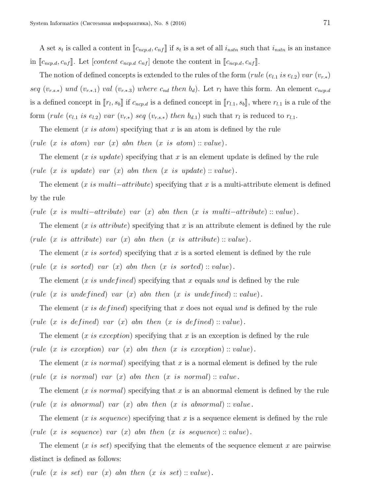A set  $s_t$  is called a content in  $[\![c_{ncp.d}, c_{nf}]\!]$  if  $s_t$  is a set of all  $i_{nstn}$  such that  $i_{nstn}$  is an instance in  $[\![c_{ncp.d}, c_{nf}]\!]$ . Let  $[content\ c_{ncp.d}\ c_{nf}]$  denote the content in  $[\![c_{ncp.d}, c_{nf}]\!]$ .

The notion of defined concepts is extended to the rules of the form (rule ( $e_{l,1}$  is  $e_{l,2}$ ) var  $(v_{r,*})$ seq  $(v_{r,s,*})$  und  $(v_{r,*,1})$  val  $(v_{r,*,3})$  where  $c_{nd}$  then  $b_d$ ). Let  $r_l$  have this form. An element  $c_{ncp,d}$ is a defined concept in  $[\![r_l, s_b]\!]$  if  $c_{ncp,d}$  is a defined concept in  $[\![r_{l,1}, s_b]\!]$ , where  $r_{l,1}$  is a rule of the form (rule (e<sub>l.1</sub> is e<sub>l.2</sub>) var (v<sub>r.\*</sub>) seq (v<sub>r.s\*</sub>) then  $b_{d,1}$ ) such that  $r_l$  is reduced to  $r_{l,1}$ .

The element  $(x \text{ is atom})$  specifying that x is an atom is defined by the rule

(rule  $(x \text{ is atom})$  var  $(x)$  abn then  $(x \text{ is atom}) :: value)$ .

The element  $(x \text{ is update})$  specifying that x is an element update is defined by the rule (rule  $(x \text{ is update})$  var  $(x)$  abn then  $(x \text{ is update}) :: value)$ .

The element  $(x \text{ is } multi-attribute)$  specifying that x is a multi-attribute element is defined by the rule

(rule  $(x \text{ is multi-attribute})$  var  $(x)$  abn then  $(x \text{ is multi-attribute})$ : value).

The element  $(x \text{ is attribute})$  specifying that x is an attribute element is defined by the rule (rule  $(x \text{ is attribute})$  var  $(x)$  abn then  $(x \text{ is attribute})$ : value).

The element  $(x \text{ is sorted})$  specifying that x is a sorted element is defined by the rule (rule  $(x \text{ is sorted})$  var  $(x)$  abn then  $(x \text{ is sorted})$ : value).

The element (x is undefined) specifying that x equals und is defined by the rule (rule (x is undefined) var  $(x)$  abn then  $(x$  is undefined) :: value).

The element  $(x \text{ is defined})$  specifying that x does not equal und is defined by the rule (rule (x is defined) var  $(x)$  abn then  $(x$  is defined) : value).

The element  $(x \text{ is exception})$  specifying that x is an exception is defined by the rule (rule  $(x \text{ is exception})$  var  $(x)$  abn then  $(x \text{ is exception}) :: value$ ).

The element  $(x \text{ is normal})$  specifying that x is a normal element is defined by the rule (rule  $(x \text{ is normal})$  var  $(x)$  abn then  $(x \text{ is normal}) :: value$ .

The element  $(x \text{ is normal})$  specifying that x is an abnormal element is defined by the rule (rule  $(x \text{ is abnormal})$  var  $(x)$  abn then  $(x \text{ is abnormal}) :: value$ .

The element  $(x \text{ is sequence})$  specifying that x is a sequence element is defined by the rule (rule (x is sequence) var  $(x)$  abn then  $(x$  is sequence) : value).

The element  $(x \text{ is set})$  specifying that the elements of the sequence element x are pairwise distinct is defined as follows:

(rule  $(x \text{ is set})$  var  $(x)$  abn then  $(x \text{ is set})$ : value).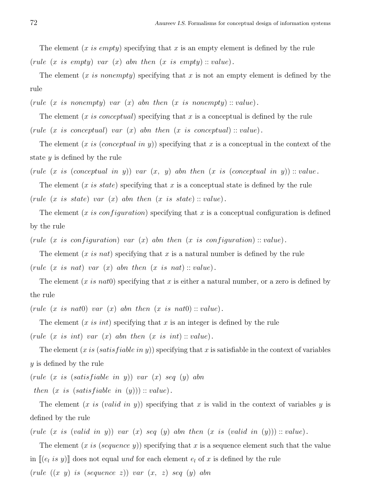The element  $(x \text{ is empty})$  specifying that x is an empty element is defined by the rule (rule  $(x \text{ is empty})$  var  $(x)$  abn then  $(x \text{ is empty})$ : value).

The element  $(x \text{ is nonempty})$  specifying that x is not an empty element is defined by the rule

(rule  $(x \text{ is nonempty})$  var  $(x)$  abn then  $(x \text{ is nonempty})$ : value).

The element (x is conceptual) specifying that x is a conceptual is defined by the rule (rule  $(x \text{ is conceptual})$  var  $(x)$  abn then  $(x \text{ is conceptual})$ : value).

The element  $(x \text{ is (conceptual in } y))$  specifying that x is a conceptual in the context of the state y is defined by the rule

(rule  $(x \text{ is (conceptual in y)})$  var  $(x, y)$  abn then  $(x \text{ is (conceptual in y)})$ : value.

The element  $(x \text{ is state})$  specifying that x is a conceptual state is defined by the rule (rule  $(x \text{ is state})$  var  $(x)$  abn then  $(x \text{ is state})$ : value).

The element (x is configuration) specifying that x is a conceptual configuration is defined by the rule

(rule (x is configuration) var (x) abn then (x is configuration) :: value).

The element  $(x \text{ is } nat)$  specifying that x is a natural number is defined by the rule (rule  $(x \text{ is } nat)$  var  $(x)$  abn then  $(x \text{ is } nat) :: value)$ .

The element  $(x \text{ is } nat0)$  specifying that x is either a natural number, or a zero is defined by the rule

(rule  $(x \text{ is } nat0)$  var  $(x)$  abn then  $(x \text{ is } nat0) :: value)$ .

The element  $(x \text{ is int})$  specifying that x is an integer is defined by the rule

(rule  $(x \text{ is } int)$  var  $(x)$  abn then  $(x \text{ is } int) :: value)$ .

The element  $(x \text{ is (satisfiable in } y))$  specifying that x is satisfiable in the context of variables y is defined by the rule

 $(rule (x is (satisfiable in y)) var (x) seq (y) abn$ 

then  $(x \text{ is (satisfiable in } (y))) :: value).$ 

The element  $(x \text{ is } (valid \text{ in } y))$  specifying that x is valid in the context of variables y is defined by the rule

(rule  $(x \text{ is } (valid \text{ in } y))$  var  $(x)$  seq  $(y)$  abn then  $(x \text{ is } (valid \text{ in } (y)))$  :: value).

The element  $(x \text{ is (sequence y)})$  specifying that x is a sequence element such that the value in  $[(e_i is y)]$  does not equal und for each element  $e_i$  of x is defined by the rule (rule ((x y) is (sequence z)) var (x, z) seq (y) abn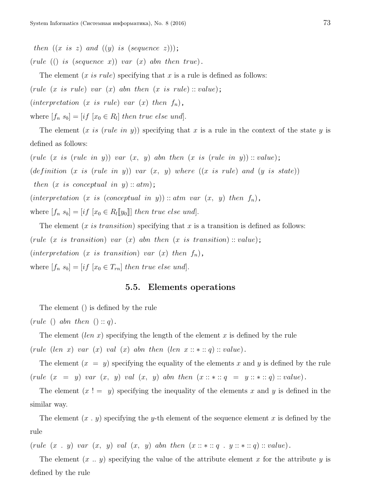then  $((x \text{ is } z) \text{ and } ((y) \text{ is } (sequence z)))$ ;

(rule (() is (sequence x)) var  $(x)$  abn then true).

The element  $(x \text{ is rule})$  specifying that x is a rule is defined as follows:

(rule  $(x \text{ is rule})$  var  $(x)$  abn then  $(x \text{ is rule})$ : value);

(interpretation (x is rule) var  $(x)$  then  $f_n$ ),

where  $[f_n s_b] = [if [x_0 \in R_l] then true else und].$ 

The element  $(x \text{ is (rule in y))}$  specifying that x is a rule in the context of the state y is defined as follows:

(rule  $(x \text{ is (rule in y))}$  var  $(x, y)$  abn then  $(x \text{ is (rule in y))}$  :: value); (definition  $(x \text{ is (rule in y))}$  var  $(x, y)$  where  $((x \text{ is rule})$  and  $(y \text{ is state}))$ then  $(x \text{ is conceptual in } y) :: atm);$ (interpretation (x is (conceptual in y)) :: atm var  $(x, y)$  then  $f_n$ ), where  $[f_n s_b] = [if [x_0 \in R_l[[y_0]]]$  then true else und].

The element  $(x \text{ is transition})$  specifying that x is a transition is defined as follows: (rule  $(x \text{ is transition})$  var  $(x)$  abn then  $(x \text{ is transition}): value);$ (interpretation (x is transition) var  $(x)$  then  $f_n$ ), where  $[f_n s_b] = [if [x_0 \in T_{rn}] then true else und].$ 

#### 5.5. Elements operations

The element () is defined by the rule

 $(\text{rule }() \text{abn then } () :: q).$ 

The element  $(len x)$  specifying the length of the element x is defined by the rule

(rule (len x) var (x) val (x) abn then (len  $x::*::q::value$ ).

The element  $(x = y)$  specifying the equality of the elements x and y is defined by the rule (rule  $(x = y)$  var  $(x, y)$  val  $(x, y)$  abn then  $(x :: * :: q = y :: * :: q) :: value)$ .

The element  $(x := y)$  specifying the inequality of the elements x and y is defined in the similar way.

The element  $(x, y)$  specifying the y-th element of the sequence element x is defined by the rule

(rule  $(x, y)$  var  $(x, y)$  val  $(x, y)$  abn then  $(x :: * :: q . y :: * :: q) :: value)$ .

The element  $(x \dots y)$  specifying the value of the attribute element x for the attribute y is defined by the rule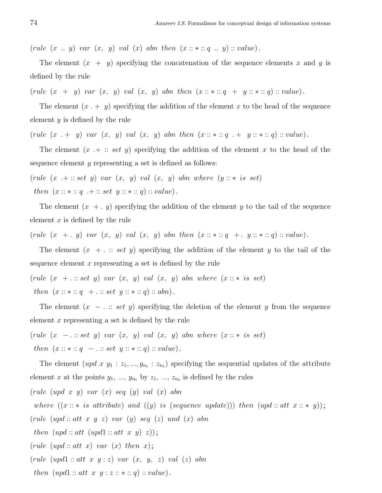(rule  $(x \dots y)$  var  $(x, y)$  val  $(x)$  abn then  $(x :: * :: q \dots y) :: value)$ .

The element  $(x + y)$  specifying the concatenation of the sequence elements x and y is defined by the rule

(rule  $(x + y)$  var  $(x, y)$  val  $(x, y)$  abn then  $(x :: * :: q + y :: * :: q) :: value)$ .

The element  $(x + y)$  specifying the addition of the element x to the head of the sequence element  $y$  is defined by the rule

(rule  $(x + y)$  var  $(x, y)$  val  $(x, y)$  abn then  $(x :: * :: q + y :: * :: q) :: value)$ .

The element  $(x + :: set y)$  specifying the addition of the element x to the head of the sequence element y representing a set is defined as follows:

(rule  $(x + :: set y)$  var  $(x, y)$  val  $(x, y)$  abn where  $(y :: * is set)$ then  $(x :: * :: q + :: set y :: * :: q) :: value)$ .

The element  $(x + y)$  specifying the addition of the element y to the tail of the sequence element  $x$  is defined by the rule

(rule  $(x + y)$  var  $(x, y)$  val  $(x, y)$  abn then  $(x :: * :: q + y :: * :: q) :: value)$ .

The element  $(x + \dots \text{ set } y)$  specifying the addition of the element y to the tail of the sequence element  $x$  representing a set is defined by the rule

(rule  $(x + \dots set y)$  var  $(x, y)$  val  $(x, y)$  abn where  $(x \dots * is set)$ ) then  $(x :: * :: q + \ldots set y :: * :: q) :: abn)$ .

The element  $(x - \ldots : set y)$  specifying the deletion of the element y from the sequence element  $x$  representing a set is defined by the rule

(rule  $(x - \dots set y)$  var  $(x, y)$  val  $(x, y)$  abn where  $(x :: * is set)$  $then \ (x::*::q\ -\ .::set\ y::*::q):: value) \,.$ 

The element  $(upd\ x\ y_1: z_1, ..., y_{n_t}: z_{n_t})$  specifying the sequential updates of the attribute element x at the points  $y_1, ..., y_{n_t}$  by  $z_1, ..., z_{n_t}$  is defined by the rules

 $(\text{rule } (upd x y) \text{ var } (x) \text{ seq } (y) \text{ val } (x) \text{ abn})$ 

where  $((x::*is attribute) and ((y) is (sequence update))) then (upd::att x::* y))$ ;

 $(\text{rule } (upd::at x y z) \text{ var } (y) \text{ seq } (z) \text{ und } (x) \text{ abn})$ 

then  $(upd::att (upd1::att x y) z));$ 

 $(\text{rule } (upd::at x) \text{ \textit{var } (x) \text{ \textit{then } x);}$ 

 $(rule (upd1:: att x y: z) var (x, y, z) val (z) abn$ 

then  $(upd1::att \ x \ y:z::*::q): value$ .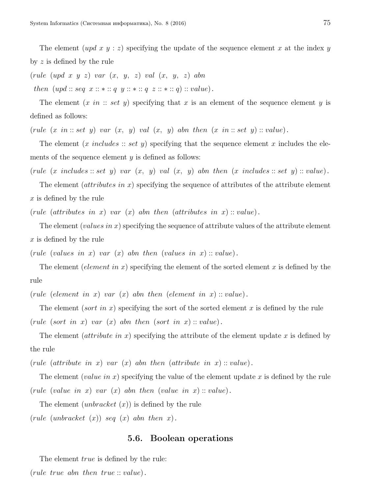The element  $(upd x y : z)$  specifying the update of the sequence element x at the index y by z is defined by the rule

 $(\text{rule } (upd \ x \ y \ z) \ \text{var} \ (x, \ y, \ z) \ \text{val} \ (x, \ y, \ z) \ \text{abn}$ 

then  $(upd::seq x::*::q y::*::q z::*::q): value)$ .

The element  $(x \in \mathit{in} : set \ y)$  specifying that x is an element of the sequence element y is defined as follows:

(rule  $(x \in i \mathfrak{n} :: set \ y)$  var  $(x, y)$  val  $(x, y)$  abn then  $(x \in i \mathfrak{n} :: set \ y) :: value)$ .

The element  $(x \text{ includes } :: \text{set } y)$  specifying that the sequence element x includes the elements of the sequence element  $y$  is defined as follows:

(rule  $(x \text{ includes } :: set \text{ } y)$  var  $(x, y)$  val  $(x, y)$  abn then  $(x \text{ includes } :: set \text{ } y) :: value)$ .

The element  $(attribute \sin x)$  specifying the sequence of attributes of the attribute element x is defined by the rule

(rule (attributes in x) var  $(x)$  abn then (attributes in x) : value).

The element (values in x) specifying the sequence of attribute values of the attribute element x is defined by the rule

(rule (values in x) var  $(x)$  abn then (values in x) :: value).

The element (element in x) specifying the element of the sorted element x is defined by the rule

(rule (element in x) var  $(x)$  abn then (element in x) :: value).

The element (sort in x) specifying the sort of the sorted element x is defined by the rule (rule (sort in x) var  $(x)$  abn then (sort in x) :: value).

The element (*attribute in x*) specifying the attribute of the element update x is defined by the rule

(rule (attribute in x) var  $(x)$  abn then (attribute in x) : value).

The element (value in x) specifying the value of the element update x is defined by the rule (rule (value in x) var  $(x)$  abn then (value in x) :: value).

The element *(unbracket*  $(x)$ *)* is defined by the rule

(rule (unbracket  $(x)$ ) seq  $(x)$  abn then x).

# 5.6. Boolean operations

The element *true* is defined by the rule:

(rule true abn then true :: value).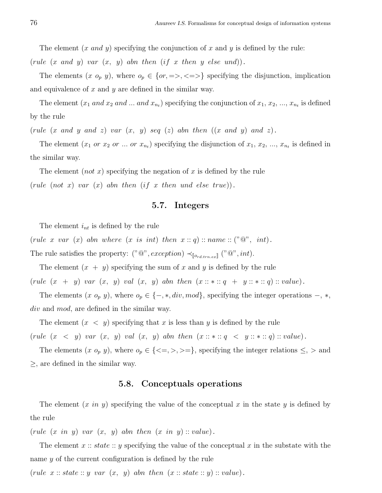The element  $(x \text{ and } y)$  specifying the conjunction of x and y is defined by the rule:

(rule  $(x \text{ and } y)$  var  $(x, y)$  abn then  $(if x \text{ then } y \text{ else } und)).$ 

The elements  $(x \ o_p y)$ , where  $o_p \in \{or, =>, \leq >\}$  specifying the disjunction, implication and equivalence of  $x$  and  $y$  are defined in the similar way.

The element  $(x_1 \text{ and } x_2 \text{ and } ... \text{ and } x_{n_t})$  specifying the conjunction of  $x_1, x_2, ..., x_{n_t}$  is defined by the rule

(rule  $(x \text{ and } y \text{ and } z)$  var  $(x, y)$  seq  $(z)$  abn then  $((x \text{ and } y) \text{ and } z)$ .

The element  $(x_1 \text{ or } x_2 \text{ or } ... \text{ or } x_{n_t})$  specifying the disjunction of  $x_1, x_2, ..., x_{n_t}$  is defined in the similar way.

The element  $(not\ x)$  specifying the negation of x is defined by the rule (rule (not x) var  $(x)$  abn then (if x then und else true)).

# 5.7. Integers

The element  $i_{nt}$  is defined by the rule

(rule x var  $(x)$  abn where  $(x \text{ is int})$  then  $x :: q) :: name :: ("@", int).$ 

The rule satisfies the property:  $("@", exception) \prec_{[o_{rd, trn, ex}]} ("@", int).$ 

The element  $(x + y)$  specifying the sum of x and y is defined by the rule (rule  $(x + y)$  var  $(x, y)$  val  $(x, y)$  abn then  $(x :: * :: q + y :: * :: q) :: value)$ .

The elements  $(x \ o_p y)$ , where  $o_p \in \{-, *, div, mod\}$ , specifying the integer operations  $-, *,$ div and mod, are defined in the similar way.

The element  $(x < y)$  specifying that x is less than y is defined by the rule (rule  $(x < y)$  var  $(x, y)$  val  $(x, y)$  abn then  $(x :: * :: q < y :: * :: q) :: value)$ .

The elements  $(x \ o_p y)$ , where  $o_p \in \{ \leq , \geq , \geq \leq \}$ , specifying the integer relations  $\leq , \geq$  and  $\geq$ , are defined in the similar way.

#### 5.8. Conceptuals operations

The element  $(x \text{ in } y)$  specifying the value of the conceptual x in the state y is defined by the rule

(rule  $(x \in y)$  var  $(x, y)$  abn then  $(x \in y)$ : value).

The element  $x:: state:: y$  specifying the value of the conceptual  $x$  in the substate with the name y of the current configuration is defined by the rule

(rule  $x::state::y \text{ var } (x, y)$  abn then  $(x::state::y)::value)$ .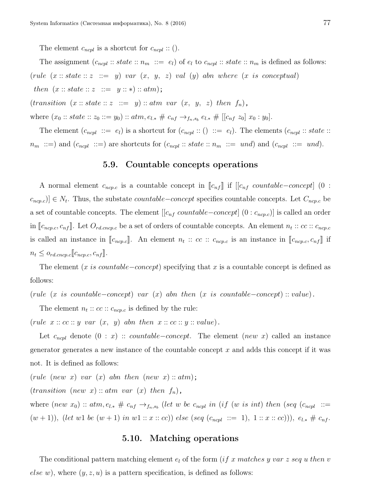The element  $c_{ncpl}$  is a shortcut for  $c_{ncpl}$  :: ().

The assignment  $(c_{ncpl}::state::n_m ::= e_l)$  of  $e_l$  to  $c_{ncpl}::state::n_m$  is defined as follows: (rule  $(x::state::z ::= y)$  var  $(x, y, z)$  val  $(y)$  abn where  $(x is conceptual)$ then  $(x::state::z ::= y::*)::atm);$  $(transition (x:: state:: z ::= y): atm var (x, y, z) then f_n),$ 

where  $(x_0::state:: z_0 ::= y_0)::atm, e_{l,*} \# c_{nf} \rightarrow_{f_n,s_b} e_{l,*} \# [[c_{nf} z_0] x_0:y_0].$ 

The element  $(c_{ncpl} ::= e_l)$  is a shortcut for  $(c_{ncpl} :: () ::= e_l)$ . The elements  $(c_{ncpl} :: state ::$  $n_m$  ::=) and  $(c_{ncpl}$  ::=) are shortcuts for  $(c_{ncpl}$  :: state ::  $n_m$  ::= und) and  $(c_{ncpl}$  ::= und).

#### 5.9. Countable concepts operations

A normal element  $c_{ncp.c}$  is a countable concept in  $\llbracket c_{nf} \rrbracket$  if  $\llbracket c_{nf}$  countable–concept] (0 :  $(c_{ncp.c})$  ∈  $N_t$ . Thus, the substate *countable–concept* specifies countable concepts. Let  $C_{ncp.c}$  be a set of countable concepts. The element  $[[c_{nf} countable-concept]$   $(0 : c_{ncp.c})]$  is called an order in  $[\![c_{ncp.c}, c_{nf}]\!]$ . Let  $O_{rd.cncp.c}$  be a set of orders of countable concepts. An element  $n_t :: cc :: c_{ncp.c}$ is called an instance in  $[\![c_{ncp.c}]\!]$ . An element  $n_t :: cc :: c_{ncp.c}$  is an instance in  $[\![c_{ncp.c}, c_{nf}]\!]$  if  $n_t \leq o_{rd.cncp.c}[\![c_{ncp.c}, c_{nf}]\!]$ .

The element (x is countable–concept) specifying that x is a countable concept is defined as follows:

(rule (x is countable–concept) var  $(x)$  abn then  $(x$  is countable–concept) :: value).

The element  $n_t :: cc :: c_{ncp.c}$  is defined by the rule:

(rule  $x :: cc :: y$  var  $(x, y)$  abn then  $x :: cc :: y :: value)$ .

Let  $c_{ncpl}$  denote  $(0 : x)$  :: *countable–concept*. The element (new x) called an instance generator generates a new instance of the countable concept  $x$  and adds this concept if it was not. It is defined as follows:

(rule (new x) var  $(x)$  abn then (new x):  $atm$ );

 $(transition (new x) :: atm var (x) then f_n),$ 

where  $(new x_0) :: atm, e_{l,*} \# c_{nf} \rightarrow_{f_n,s_b} (let w be c_{ncpl} in (if (w is int) then (seq (c_{ncpl} ::=$  $(w + 1)$ , (let w1 be  $(w + 1)$  in w1 :: x :: cc)) else (seq (c<sub>ncpl</sub> ::= 1), 1 :: x :: cc))),  $e_{l,*} \# c_{nf}$ .

# 5.10. Matching operations

The conditional pattern matching element  $e_l$  of the form (if x matches y var z seq u then v else w), where  $(y, z, u)$  is a pattern specification, is defined as follows: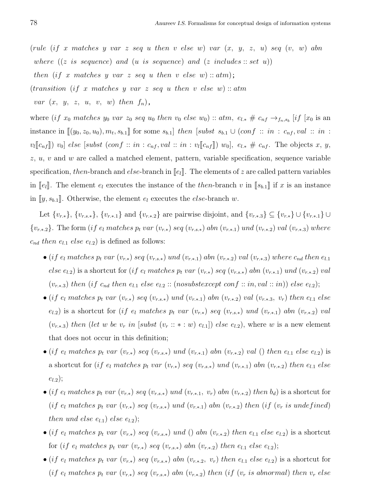(rule  $(if x \ matches y \ var z \ seq u \ then v \ else w) \ var (x, y, z, u) \ seq (v, w) \ abn$ where  $((z \text{ is sequence}) \text{ and } (u \text{ is sequence}) \text{ and } (z \text{ includes} :: set u))$ then (if x matches y var z seq u then v else w) ::  $atm$ ; (transition (if x matches y var z seq u then v else w) :: atm var  $(x, y, z, u, v, w)$  then  $f_n$ ,

where (if  $x_0$  matches  $y_0$  var  $z_0$  seq  $u_0$  then  $v_0$  else  $w_0$ ) ::  $atm$ ,  $e_{l,*} \# c_{nf} \rightarrow_{f_n,s_b} [if [x_0 \text{ is an}]$ instance in  $[(y_0, z_0, u_0), m_t, s_{b,1}]$  for some  $s_{b,1}]$  then [subst  $s_{b,1} \cup (conf :: in : c_{nf}, val :: in :$  $v_l[[c_{nf}])$   $v_0]$  else [subst (conf :: in :  $c_{nf}$ , val :: in :  $v_l[[c_{nf}])$   $w_0]$ ,  $e_{l,*} \# c_{nf}$ . The objects x, y,  $z, u, v$  and w are called a matched element, pattern, variable specification, sequence variable specification, then-branch and else-branch in  $\llbracket e_l \rrbracket$ . The elements of z are called pattern variables in  $\llbracket e_l \rrbracket$ . The element  $e_l$  executes the instance of the then-branch v in  $\llbracket s_{b,1} \rrbracket$  if x is an instance in  $[y, s_{b,1}]$ . Otherwise, the element  $e_l$  executes the *else*-branch w.

Let  $\{v_{r,*}\}, \{v_{r,s,*}\}, \{v_{r*,1}\}\$  and  $\{v_{r,*,2}\}\$  are pairwise disjoint, and  $\{v_{r*,3}\}\subseteq \{v_{r,*}\}\cup \{v_{r,*,1}\}\cup \{v_{r,*,2}\}\$  ${v_{r*2}}$ . The form (if  $e_l$  matches  $p_t$  var  $(v_{r*})$  seq  $(v_{r,s*})$  abn  $(v_{r*1})$  und  $(v_{r*2})$  val  $(v_{r*3})$  where  $c_{nd}$  then  $e_{l,1}$  else  $e_{l,2}$ ) is defined as follows:

- (if  $e_l$  matches  $p_t$  var  $(v_{r.*})$  seq  $(v_{r.s.*})$  und  $(v_{r.*.1})$  abn  $(v_{r.*.2})$  val  $(v_{r.*.3})$  where  $c_{nd}$  then  $e_{l.1}$ else  $e_{l,2}$ ) is a shortcut for (if  $e_l$  matches  $p_t$  var  $(v_{r,*})$  seq  $(v_{r,s,*})$  abn  $(v_{r,*,1})$  und  $(v_{r,*,2})$  val  $(v_{r.*.3})$  then (if  $c_{nd}$  then  $e_{l.1}$  else  $e_{l.2}$  :: (nosubstexcept conf :: in, val :: in)) else  $e_{l.2}$ );
- (if  $e_l$  matches  $p_t$  var  $(v_{r,*})$  seq  $(v_{r,s,*})$  und  $(v_{r,*,1})$  abn  $(v_{r,*,2})$  val  $(v_{r,*,3}, v_r)$  then  $e_{l,1}$  else  $e_{l,2}$ ) is a shortcut for (if  $e_l$  matches  $p_t$  var  $(v_{r,*})$  seq  $(v_{r,s,*})$  und  $(v_{r,*,1})$  abn  $(v_{r,*,2})$  val  $(v_{r*3})$  then (let w be  $v_r$  in [subst  $(v_r :: * : w) e_{l,1}$ ]) else  $e_{l,2}$ ), where w is a new element that does not occur in this definition;
- (if e<sub>l</sub> matches  $p_t$  var  $(v_{r,*})$  seq  $(v_{r,s,*})$  und  $(v_{r,*,1})$  abn  $(v_{r,*,2})$  val () then  $e_{l,1}$  else  $e_{l,2}$ ) is a shortcut for (if  $e_l$  matches  $p_t$  var  $(v_{r,*})$  seq  $(v_{r,s,*})$  und  $(v_{r,*,1})$  abn  $(v_{r,*,2})$  then  $e_{l,1}$  else  $e_{l.2}$ );
- (if  $e_l$  matches  $p_t$  var  $(v_{r,*})$  seq  $(v_{r,s,*})$  und  $(v_{r,*,1}, v_r)$  abn  $(v_{r,*,2})$  then  $b_d$ ) is a shortcut for (if  $e_l$  matches  $p_t$  var  $(v_{r,*})$  seq  $(v_{r,s,*})$  und  $(v_{r,*,1})$  abn  $(v_{r,*,2})$  then (if  $(v_r$  is undefined) then und else  $e_{l,1}$ ) else  $e_{l,2}$ );
- (if  $e_l$  matches  $p_t$  var  $(v_{r,*})$  seq  $(v_{r,s,*})$  und () abn  $(v_{r,*,2})$  then  $e_{l,1}$  else  $e_{l,2}$ ) is a shortcut for (if  $e_l$  matches  $p_t$  var  $(v_{r,*})$  seq  $(v_{r,s,*})$  abn  $(v_{r,*,2})$  then  $e_{l,1}$  else  $e_{l,2}$ );
- (if  $e_l$  matches  $p_t$  var  $(v_{r,*})$  seq  $(v_{r,s,*})$  abn  $(v_{r,*,2}, v_r)$  then  $e_{l,1}$  else  $e_{l,2}$ ) is a shortcut for (if e<sub>l</sub> matches  $p_t$  var  $(v_{r,*})$  seq  $(v_{r,s,*})$  abn  $(v_{r,*,2})$  then (if  $(v_r$  is abnormal) then  $v_r$  else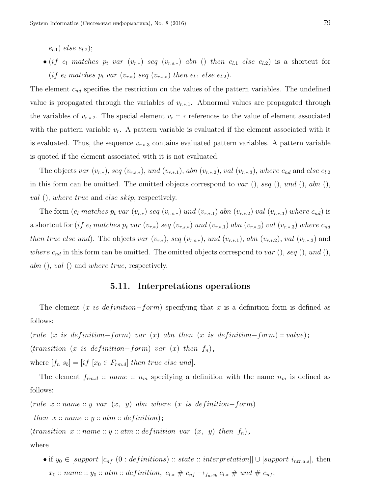$(e_{l,1})$  else  $e_{l,2})$ ;

• (if  $e_l$  matches  $p_t$  var  $(v_{r,*})$  seq  $(v_{r,s,*})$  abn () then  $e_{l,1}$  else  $e_{l,2}$ ) is a shortcut for (if  $e_l$  matches  $p_t$  var  $(v_{r.*})$  seq  $(v_{r.s.*})$  then  $e_{l.1}$  else  $e_{l.2}$ ).

The element  $c_{nd}$  specifies the restriction on the values of the pattern variables. The undefined value is propagated through the variables of  $v_{r,*,1}$ . Abnormal values are propagated through the variables of  $v_{r,*,2}$ . The special element  $v_r :: *$  references to the value of element associated with the pattern variable  $v_r$ . A pattern variable is evaluated if the element associated with it is evaluated. Thus, the sequence  $v_{r*3}$  contains evaluated pattern variables. A pattern variable is quoted if the element associated with it is not evaluated.

The objects var  $(v_{r,*})$ , seq  $(v_{r,s,*})$ , und  $(v_{r,*,1})$ , abn  $(v_{r,*,2})$ , val  $(v_{r,*,3})$ , where  $c_{nd}$  and else e<sub>l.2</sub> in this form can be omitted. The omitted objects correspond to var  $($ , seq  $($ ), und  $($ ), abn  $($ ), val (), where true and else skip, respectively.

The form  $(e_l$  matches  $p_t$  var  $(v_{r.*})$  seq  $(v_{r.s.*})$  und  $(v_{r.*.1})$  abn  $(v_{r.*.2})$  val  $(v_{r.*.3})$  where  $c_{nd}$ ) is a shortcut for (if  $e_l$  matches  $p_t$  var  $(v_{r.*})$  seq  $(v_{r.s.*})$  und  $(v_{r.*.1})$  abn  $(v_{r.*.2})$  val  $(v_{r.*.3})$  where  $c_{nd}$ then true else und). The objects var  $(v_{r,*})$ , seq  $(v_{r,s,*})$ , und  $(v_{r,*,1})$ , abn  $(v_{r,*,2})$ , val  $(v_{r,*,3})$  and where  $c_{nd}$  in this form can be omitted. The omitted objects correspond to var (), seq (), und (), abn  $($ , val  $($ ) and where true, respectively.

#### 5.11. Interpretations operations

The element  $(x \text{ is definition} - form)$  specifying that x is a definition form is defined as follows:

(rule (x is definition–form) var (x) abn then (x is definition–form) :: value);  $(transition (x is definition-form) var (x) then f<sub>n</sub>),$ 

where  $[f_n s_b] = [if [x_0 \in F_{rm.d}]$  then true else und].

The element  $f_{rm. d}$  :: name ::  $n_m$  specifying a definition with the name  $n_m$  is defined as follows:

(rule  $x :: name :: y var (x, y)$  abn where  $(x is definition-form)$ 

then  $x::name::y::atm::definition);$ 

 $(transition \ x::name:: y::atm::definition \ var(x, y) then f_n),$ 

where

• if  $y_0 \in [support \ [c_{nf} \ (0: definitions) :: state :: interpretation]] \cup [support \ i_{ntr.a.s}],$  then  $x_0::name:: y_0::atm::definition, e_{l,*} \# c_{nf} \rightarrow_{f_n,s_b} e_{l,*} \# und \# c_{nf};$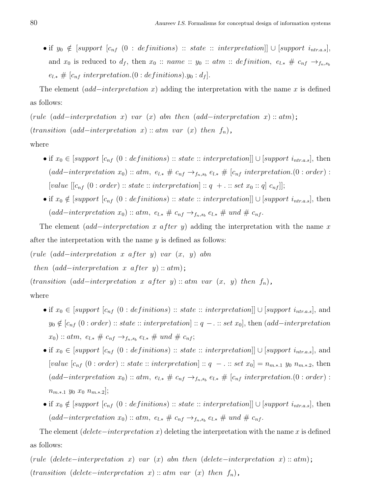• if  $y_0 \notin [support \ [c_{nf} \ (0 : definitions) :: state :: interpretation]] \cup [support \ i_{ntr.a.s}],$ and  $x_0$  is reduced to  $d_f$ , then  $x_0 :: name :: y_0 :: atm :: definition, e_{l,*} \# c_{nf} \rightarrow_{f_n,s_b}$  $e_{l,*} \# [c_{nf}$  interpretation.(0 : definitions). $y_0 : d_f$ .

The element  $(add-interpretation x)$  adding the interpretation with the name x is defined as follows:

(rule (add–interpretation x) var (x) abn then (add–interpretation x) :: atm);  $(transition (add-interpretation x) :: atm var (x) then f<sub>n</sub>),$ where

- if  $x_0 \in [support \ [c_{nf} \ (0: definitions) :: state :: interpretation]] \cup [support \ i_{ntr.a.s}],$  then  $(add-interpretation x_0) :: atm, e_{l,*} \# c_{nf} \rightarrow_{f_n,s_b} e_{l,*} \# [c_{nf} interpretation. (0:order) :$ [value  $[[c_{nf} (0 : order) :: state :: interpretation] :: q + \ldots set x_0 :: q] c_{nf}$ ];
- if  $x_0 \notin [support \ [c_{nf} (0 : definitions) :: state :: interpretation]] \cup [support \ i_{ntr.a.s}],$  then  $(add-interpretation x_0) :: atm, e_{l,*} \# c_{nf} \rightarrow_{f_n,s_b} e_{l,*} \# und \# c_{nf}.$

The element  $(add-interpretation x after y)$  adding the interpretation with the name x after the interpretation with the name  $y$  is defined as follows:

(rule (add−interpretation x after y) var  $(x, y)$  abn

then  $(add-interpretation \ x \ after \ y) :: atm);$ 

 $(transition (add-interpretation x after y) :: atm var (x, y) then f<sub>n</sub>),$ 

#### where

- if  $x_0 \in [support \ [c_{nf} \ (0: definitions) :: state :: interpretation]] \cup [support \ i_{ntr.a.s}],$  and  $y_0 \notin [c_{nf} (0 : order) :: state :: interpretation] :: q - \dots set x_0],$  then  $(add-interpretation$  $(x_0) :: atm, e_{l,*} \# c_{nf} \rightarrow_{f_n,s_b} e_{l,*} \# und \# c_{nf};$
- if  $x_0 \in [support \ [c_{nf} \ (0: definitions) :: state :: interpretation]] \cup [support \ i_{ntr.a.s}],$  and [value  $[c_{nf} (0 : order) :: state :: interpretation] :: q - \ldots set x_0] = n_{m.*.1} y_0 n_{m.*.2}$ , then  $(add-interpretation x_0) :: atm, e_{l,*} \# c_{nf} \rightarrow_{f_n,s_b} e_{l,*} \# [c_{nf} interpretation. (0:order) :$  $n_{m.*.1}$  y<sub>0</sub>  $x_0$   $n_{m.*.2}$ ];
- if  $x_0 \notin [support \ [c_{nf} (0 : definitions) :: state :: interpretation]] \cup [support \ i_{ntr.a.s}],$  then  $(add-interpretation x_0) :: atm, e_{l,*} \# c_{nf} \rightarrow_{f_n,s_b} e_{l,*} \# und \# c_{nf}.$

The element (delete−interpretation x) deleting the interpretation with the name x is defined as follows:

(rule (delete−interpretation x) var (x) abn then (delete−interpretation x) :: atm);  $(transition (delete-interpretation x) :: atm var (x) then f<sub>n</sub>),$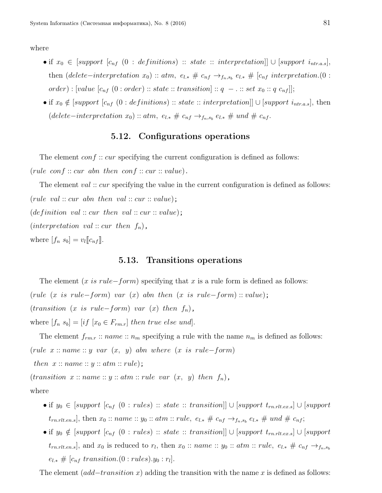where

- if  $x_0 \in [support \ [c_{nf} \ (0: definitions) \ :: state \ :: \ interpretation]] \cup [support \ i_{ntr.a.s}],$ then (delete–interpretation  $x_0$ ) :: atm,  $e_{l,*} \# c_{nf} \rightarrow_{f_n,s_b} e_{l,*} \# [c_{nf}$  interpretation.(0 :  $order): [value [c_{nf} (0:order) :: state :: transition] :: q - ... set x_0 :: q c_{nf}]];$
- if  $x_0 \notin [support \ [c_{nf} (0 : definitions) :: state :: interpretation]] \cup [support \ i_{ntr.a.s}],$  then  $(delete-interpretation x_0) :: atm, e_{l,*} \# c_{nf} \rightarrow_{f_n,s_b} e_{l,*} \# und \# c_{nf}.$

# 5.12. Configurations operations

The element  $conf::cur$  specifying the current configuration is defined as follows: (rule conf :: cur abn then conf :: cur :: value).

The element val :: cur specifying the value in the current configuration is defined as follows: (rule val  $:: cur$  abn then val  $::cur::value);$  $(definition \ val :: cur \ then \ val :: cur : value);$ (interpretation val :: cur then  $f_n$ ), where  $[f_n s_b] = v_l[[c_{nf}]]$ .

#### 5.13. Transitions operations

The element  $(x \text{ is rule} - form)$  specifying that x is a rule form is defined as follows: (rule (x is rule–form) var (x) abn then (x is rule–form) :: value);  $(transition (x is rule-form) var (x) then f_n),$ where  $[f_n s_b] = [if [x_0 \in F_{rm.r}]$  then true else und].

The element  $f_{rm,r}$ :  $name: n_m$  specifying a rule with the name  $n_m$  is defined as follows: (rule  $x :: name :: y var (x, y)$  abn where  $(x is rule-form)$ 

then  $x::name::y::atm::rule);$ 

 $(transition x::name:: y::atm::rule var (x, y) then f<sub>n</sub>),$ 

where

- if  $y_0 \in [support \ [c_{nf} \ (0 : rules) :: state :: transition]] \cup [support \ t_{rn.rlt. ex.s}] \cup [support \$  $t_{rn.rlt. en.s}$ , then  $x_0 :: name :: y_0 :: atm :: rule, e_{l.*} \# c_{nf} \rightarrow_{f_n, s_b} e_{l.*} \# und \# c_{nf};$
- if  $y_0 \notin [support \ [c_{nf} \ (0 : rules) :: state :: transition]] \cup [support \ t_{rn.rlt.ex.s}] \cup [support \ t_{nr.rlt.ex.s}]$  $t_{rn.rlt.ens}]$ , and  $x_0$  is reduced to  $r_l$ , then  $x_0 :: name :: y_0 :: atm :: rule, e_{l.*} \# c_{nf} \rightarrow_{f_n,s_b}$  $e_{l,*}\# [c_{nf}$  transition. $(0:rules).y_0:r_l].$

The element  $(add-transition\ x)$  adding the transition with the name x is defined as follows: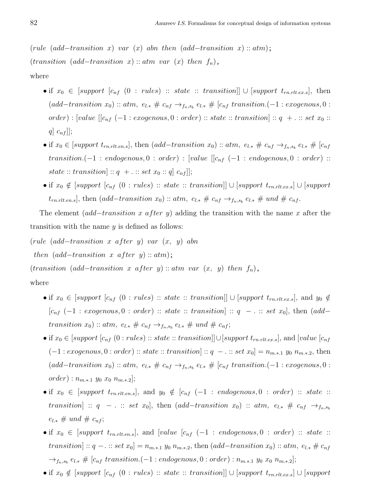(rule (add–transition x) var (x) abn then (add–transition x) :: atm);  $(transition (add-transition x) :: atm var (x) then f_n),$ where

- if  $x_0 \in [support \ [c_{nf} \ (0 : rules) :: state :: transition]] \cup [support \ t_{rn,rlt,ex,s}],$  then  $(add-transition x_0) :: atm, e_{l,*} \# c_{nf} \rightarrow_{f_n,s_b} e_{l,*} \# [c_{nf} transition.(-1:exogenous,0:$  $order): [value [[c_{nf} (-1:exogenous, 0:order) :: state::transition] :: q + ... : set x<sub>0</sub> ::$  $q \mid c_{nf}$ ];
- if  $x_0 \in [support\ t_{rn.rtt.en.s}]$ , then  $(add-transition\ x_0) :: atm$ ,  $e_{l,*} \# c_{nf} \rightarrow_{f_n,s_b} e_{l,*} \# [c_{nf} \rightarrow_{f_n,s_b} e_{l,*}]$ transition.(-1 : endogenous, 0 : order) : [value  $[[c_{nf}(-1 : endogenous, 0 : order) ::$ state :: transition] ::  $q + \ldots$  set  $x_0 : q]$   $c_{nf}$ ]];
- if  $x_0 \notin [support \ [c_{nf} (0 : rules) :: state :: transition]] \cup [support \ t_{rn.rtlex.s}] \cup [support \ t_{nr:rtlex.s}]$  $t_{rn.rtt.en.s}$ , then  $(add-transition x_0) :: atm, e_{l.*} \# c_{nf} \rightarrow_{f_n,s_b} e_{l.*} \# und \# c_{nf}.$

The element  $(add-transition\ x\ after\ y)$  adding the transition with the name x after the transition with the name  $y$  is defined as follows:

(rule  $(add-transition \; x \; after \; y) \; var \; (x, \; y) \; abn$ 

then  $(add-transition \ x \ after \ y) :: atm);$ 

 $(transition (add-transition x after y) :: atm var (x, y) then f<sub>n</sub>),$ 

where

- if  $x_0 \in [support \ [c_{nf} \ (0 : rules) :: state :: transition]] \cup [support \ t_{rn.rtlex.s}],$  and  $y_0 \notin$  $[c_{nf} (-1:exogenous, 0:order) :: state :: transition] :: q - \ldots set x_0],$  then  $(add$ transition  $x_0$ ) :: atm,  $e_{l,*} \# c_{nf} \rightarrow_{f_n,s_b} e_{l,*} \# und \# c_{nf};$
- if  $x_0 \in [support \ [c_{nf} \ (0 : rules) :: state :: transition]] \cup [support \ t_{rn.rtt.ex.s}],$  and  $[value \ [c_{nf} \ (0 : rules] \ ... ]$  $(-1:exogenous, 0:order) :: state :: transition] :: q - \ldots set x_0] = n_{m.*.1} y_0 n_{m.*.2}$ , then  $(add-transition x_0) :: atm, e_{l,*} \# c_{nf} \rightarrow_{f_n,s_b} e_{l,*} \# [c_{nf} transition.(-1:exogenous,0:$  $order): n_{m.*.1} y_0 x_0 n_{m.*.2};$
- if  $x_0 \in [support \ t_{rn.rtt.ens}]$ , and  $y_0 \notin [c_{nf} (-1 : endogenous, 0 : order) :: state ::$ transition] :: q - . :: set x<sub>0</sub>], then  $(add-transition x_0)$  ::  $atm$ ,  $e_{l,*} \# c_{nf} \rightarrow_{f_n,s_b}$  $e_{l,*} \# und \# c_{nf};$
- if  $x_0 \in [support \ t_{rn.rlt.ens}]$ , and  $[value \ [c_{nf} \ (-1 \ : \ endogenous, 0 \ : \ order) \ :: \ state \ ::$ transition] ::  $q -$ . :: set  $x_0$ ] =  $n_{m*1}$   $y_0$   $n_{m*2}$ , then (add–transition  $x_0$ ) :: atm,  $e_{l*} \# c_{n}$  $\rightarrow_{f_n, s_b} e_{l,*} \# [c_{nf}$  transition.(-1 : endogenous, 0 : order) :  $n_{m.*.1}$  y<sub>0</sub>  $x_0$   $n_{m.*.2}$ ];
- if  $x_0 \notin [support \ [c_{nf} (0 : rules) :: state :: transition]] \cup [support \ t_{rn.rtt.ex.s}] \cup [support$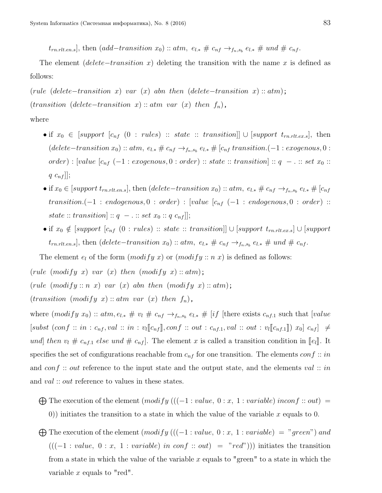$t_{rn.rlt. en.s}$ , then  $(add-transition x_0) :: atm, e_{l.*} \# c_{nf} \rightarrow_{f_n,s_b} e_{l.*} \# und \# c_{nf}.$ 

The element (delete–transition x) deleting the transition with the name x is defined as follows:

(rule (delete–transition x) var (x) abn then (delete–transition x) :: atm);  $(transition (delete-transition x) :: atm var (x) then f<sub>n</sub>),$ 

#### where

- if  $x_0 \in [support \ [c_{nf} \ (0 : rules) \ :: state \ :: transition]] \cup [support \ t_{rn.rlt.ex.s}],$  then  $(delete-transition x<sub>0</sub>) :: atm, e<sub>l</sub> * # c<sub>nf</sub> →<sub>f<sub>n</sub>,s<sub>b</sub></sub> e<sub>l</sub> * # [c<sub>nf</sub> transition. (-1 : exogenous, 0 :$  $order): [value [c_{nf} (-1:exogenous, 0:order) :: state :: transition] :: q - ... : set x_0 ::$  $q \ c_{nf}$ ];
- if  $x_0 \in [support\ t_{rn.rlt.ens}]$ , then  $(delete-transition\ x_0) :: atm, \ e_{l,*} \neq c_{nf} \rightarrow_{f_n,s_b} e_{l,*} \neq [c_{nf} \rightarrow_{f_n,s_b} e_{l,*}]$  $transition.(-1: endogenous, 0: order): [value [c_{nf} (-1: endogenous, 0: order) : [value (f_{nf} (1: endogenous, 0:order) : (right: end, 0: order)]$  $state::transition] :: q - ..:: set x_0 :: q c_{nf}$ ];
- if  $x_0 \notin [support \ [c_{nf} (0 : rules) :: state :: transition]] \cup [support \ t_{rn.rtt.ex.s}] \cup [support$  $t_{rn.rtt.en.s}$ , then (delete–transition  $x_0$ ) :: atm,  $e_{l.*}$  #  $c_{nf}$   $\rightarrow$   $_{f_n,s_b}$   $e_{l.*}$  # und #  $c_{nf}$ .

The element  $e_l$  of the form  $(modify\ x)$  or  $(modify::n\ x)$  is defined as follows:

(rule  $(modify\ x)$  var  $(x)$  then  $(modify\ x) :: atm);$ 

- (rule  $(modify::n\ x)$  var  $(x)$  abn then  $(modify\ x):atm$ );
- $(transition (modify x) :: atm var (x) then f<sub>n</sub>),$

variable x equals to "red".

where  $(modify\ x_0) :: atm, e_{l,*} \# v_l \# c_{nf} \rightarrow_{f_n,s_b} e_{l,*} \# [if]$  [there exists  $c_{nf,1}$  such that [value  $[subst\,\, (conf\,\,::\,\,in\,\,:\,c_{nf}, val\,\,::\,\,in\,\,:\,\,v_l[\![c_{nf}]\!],conf\,\,::\,\,out\,\,:\,\,c_{nf,1}, val\,\,::\,\,out\,\,:\,\,v_l[\![c_{nf,1}]\!])\,\,x_0]\,\,c_{nf}]\,\,\neq\,\,d=1,$ und] then  $v_l \# c_{nf,1}$  else und  $\# c_{nf}$ . The element x is called a transition condition in  $[0e_l]$ . It specifies the set of configurations reachable from  $c_{nf}$  for one transition. The elements  $conf::in$ and conf :: out reference to the input state and the output state, and the elements val :: in and *val* :: *out* reference to values in these states.

- $\bigoplus$  The execution of the element  $(modify$  (((-1 : value, 0 : x, 1 : variable) inconf :: out) = 0)) initiates the transition to a state in which the value of the variable x equals to 0.
- $\bigoplus$  The execution of the element  $(modify$  (((-1 : value, 0 : x, 1 : variable) = "green") and  $(((-1: value, 0: x, 1: variable) in conf:: out) = "red")$ ) initiates the transition from a state in which the value of the variable x equals to "green" to a state in which the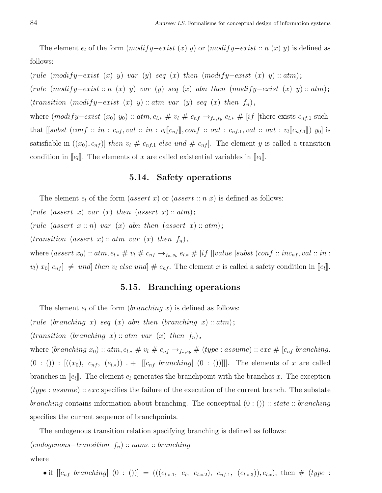The element  $e_l$  of the form  $(modify-exist(x) y)$  or  $(modify-exist :: n(x) y)$  is defined as follows:

(rule  $(modify–exist (x) y) var (y) seq (x) then (modify–exist (x) y) :: atm);$ (rule  $(modify–exist::n(x) y) var(y) seq(x) abn then (modify–exist(x) y) :: atm);$ (transition (modify-exist (x) y) :: atm var (y) seq (x) then  $f_n$ ), where  $(modify\text{-}exist(x_0)y_0) :: atm, e_{l,*} \# v_l \# c_{nf} \to_{f_n,s_b} e_{l,*} \# [if]$  [there exists  $c_{nf,1}$  such that  $[[subst (conf :: in : c_{nf}, val :: in : v_l[[c_{nf}]], conf :: out : c_{nf,1}, val :: out : v_l[[c_{nf,1}]) y_0]$  is satisfiable in  $((x_0), c_{nf})$  then  $v_l \# c_{nf,1}$  else und  $\# c_{nf}$ . The element y is called a transition condition in  $\llbracket e_l \rrbracket$ . The elements of x are called existential variables in  $\llbracket e_l \rrbracket$ .

#### 5.14. Safety operations

The element  $e_l$  of the form (assert x) or (assert :: n x) is defined as follows:

(rule (assert x) var  $(x)$  then (assert x) ::  $atm$ );

(rule (assert  $x:: n$ ) var  $(x)$  abn then (assert  $x:: atm$ );

 $(transition (assert x) :: atm var (x) then f<sub>n</sub>),$ 

where  $(assert\ x_0) :: atm, e_{l,*} \# v_l \# c_{nf} \rightarrow_{f_n,s_b} e_{l,*} \# [if\ [[value\ [subset\ [f:conf :: inc_{nf}, val :: in \ ]])$  $[v_l]$   $x_0$   $c_{nf}$   $\neq$  und then  $v_l$  else und  $\neq$   $c_{nf}$ . The element x is called a safety condition in  $\llbracket e_l \rrbracket$ .

# 5.15. Branching operations

The element  $e_l$  of the form (*branching x*) is defined as follows:

(rule (branching x) seq (x) abn then (branching x) ::  $atm$ );

 $(transition (branching x) :: atm var (x) then f_n),$ 

where (branching  $x_0$ ) ::  $atm, e_{l,*} \# v_l \# c_{nf} \rightarrow_{f_n,s_b} \# (type: assume)$  ::  $exc \# [c_{nf} branching$ .  $(0 : ()): [((x_0), c_{nf}, (e_{l*})) + [[c_{nf} branching] (0 : ())]].$  The elements of x are called branches in  $\llbracket e_l \rrbracket$ . The element  $e_l$  generates the branchpoint with the branches x. The exception  $(type: assume) :: exc$  specifies the failure of the execution of the current branch. The substate *branching* contains information about branching. The conceptual  $(0:$   $()$ ) :: state :: branching specifies the current sequence of branchpoints.

The endogenous transition relation specifying branching is defined as follows:  $(endogenous-transition f_n) :: name :: branching$ where

• if  $[[c_{nf}~branching]~(0:())] = (((e_{l*1}, e_l, e_{l*2}), c_{nf,1}, (e_{l*3})), e_{l*}),$  then #  $(type$ :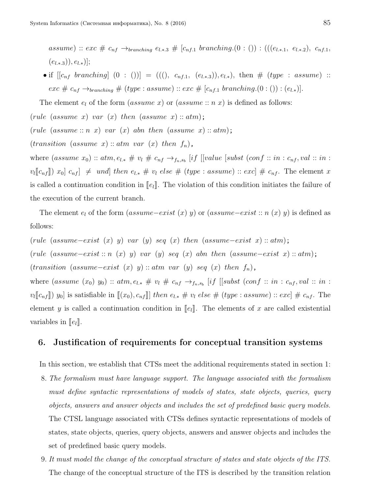assume) :: exc #  $c_{nf} \rightarrow_{branching} e_{l*3}$  #  $[c_{nf,1}$  branching.(0 : ()) : ((( $(e_{l*1}, e_{l*2})$ ,  $c_{nf,1}$ ,  $(e_{l.*.3})), e_{l.*})$ ;

• if  $[[c_{nf} branching] (0 : ())] = (((0, c_{nf,1}, (e_{l,*,3})), e_{l,*}),$  then  $\# (type : assume) ::$ exc #  $c_{nf} \rightarrow_{branching}$  # (type : assume) :: exc # [ $c_{nf,1}$  branching.(0 : ()) : ( $e_{l,*}$ )].

The element  $e_l$  of the form  $(assume x)$  or  $(assume :: n x)$  is defined as follows:

(rule (assume x) var  $(x)$  then (assume x) :: atm);

(rule (assume :: n x) var (x) abn then (assume x) :: atm);

 $(transition (assume x) :: atm var (x) then f_n),$ 

variables in  $\llbracket e_l \rrbracket$ .

where  $(assume x_0) :: atm, e_{l,*} \# v_l \# c_{nf} \rightarrow_{f_n,s_b} [if [[value [subset] to conf :: in : c_{nf}, val :: in :$  $v_l[[c_{nf}])$   $x_0]$   $c_{nf}$   $\neq$   $und$   $then$   $e_{l,*}$   $\neq$   $v_l$   $else$   $\neq$   $(type : assume) :: exc]$   $\neq$   $c_{nf}$ . The element x is called a continuation condition in  $\llbracket e_l \rrbracket$ . The violation of this condition initiates the failure of the execution of the current branch.

The element  $e_l$  of the form (assume–exist  $(x)$  y) or (assume–exist :: n  $(x)$  y) is defined as follows:

(rule (assume–exist  $(x)$  y) var  $(y)$  seq  $(x)$  then (assume–exist x) :: atm); (rule (assume–exist :: n (x) y) var (y) seq (x) abn then (assume–exist x) :: atm);  $(transition (assume–exist (x) y) :: atm var (y) seq (x) then f<sub>n</sub>),$ where  $(assume (x_0) y_0) :: atm, e_{l,*} \# v_l \# c_{nf} \rightarrow_{f_n,s_b} [if [[subst (conf :: in : c_{nf}, val :: in : c_{nf}])$  $v_l[[c_{nf}])$  y<sub>0</sub>] is satisfiable in  $[[(x_0), c_{nf}]]$  then  $e_{l,*} \# v_l$  else  $\# (type: assume) :: exc] \# c_{nf}$ . The element y is called a continuation condition in  $\llbracket e_l \rrbracket$ . The elements of x are called existential

#### 6. Justification of requirements for conceptual transition systems

In this section, we establish that CTSs meet the additional requirements stated in section 1:

- 8. The formalism must have language support. The language associated with the formalism must define syntactic representations of models of states, state objects, queries, query objects, answers and answer objects and includes the set of predefined basic query models. The CTSL language associated with CTSs defines syntactic representations of models of states, state objects, queries, query objects, answers and answer objects and includes the set of predefined basic query models.
- 9. It must model the change of the conceptual structure of states and state objects of the ITS. The change of the conceptual structure of the ITS is described by the transition relation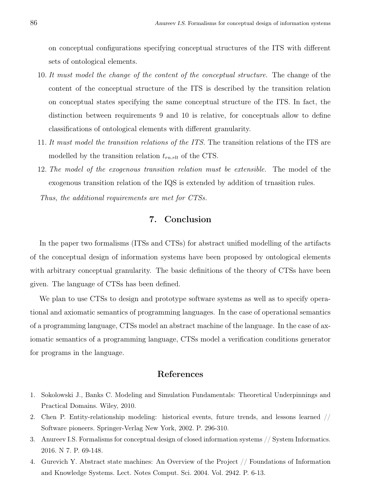on conceptual configurations specifying conceptual structures of the ITS with different sets of ontological elements.

- 10. It must model the change of the content of the conceptual structure. The change of the content of the conceptual structure of the ITS is described by the transition relation on conceptual states specifying the same conceptual structure of the ITS. In fact, the distinction between requirements 9 and 10 is relative, for conceptuals allow to define classifications of ontological elements with different granularity.
- 11. It must model the transition relations of the ITS. The transition relations of the ITS are modelled by the transition relation  $t_{rn,rlt}$  of the CTS.
- 12. The model of the exogenous transition relation must be extensible. The model of the exogenous transition relation of the IQS is extended by addition of trnasition rules.

Thus, the additional requirements are met for CTSs.

# 7. Conclusion

In the paper two formalisms (ITSs and CTSs) for abstract unified modelling of the artifacts of the conceptual design of information systems have been proposed by ontological elements with arbitrary conceptual granularity. The basic definitions of the theory of CTSs have been given. The language of CTSs has been defined.

We plan to use CTSs to design and prototype software systems as well as to specify operational and axiomatic semantics of programming languages. In the case of operational semantics of a programming language, CTSs model an abstract machine of the language. In the case of axiomatic semantics of a programming language, CTSs model a verification conditions generator for programs in the language.

# References

- 1. Sokolowski J., Banks C. Modeling and Simulation Fundamentals: Theoretical Underpinnings and Practical Domains. Wiley, 2010.
- 2. Chen P. Entity-relationship modeling: historical events, future trends, and lessons learned // Software pioneers. Springer-Verlag New York, 2002. P. 296-310.
- 3. Anureev I.S. Formalisms for conceptual design of closed information systems // System Informatics. 2016. N 7. P. 69-148.
- 4. Gurevich Y. Abstract state machines: An Overview of the Project // Foundations of Information and Knowledge Systems. Lect. Notes Comput. Sci. 2004. Vol. 2942. P. 6-13.